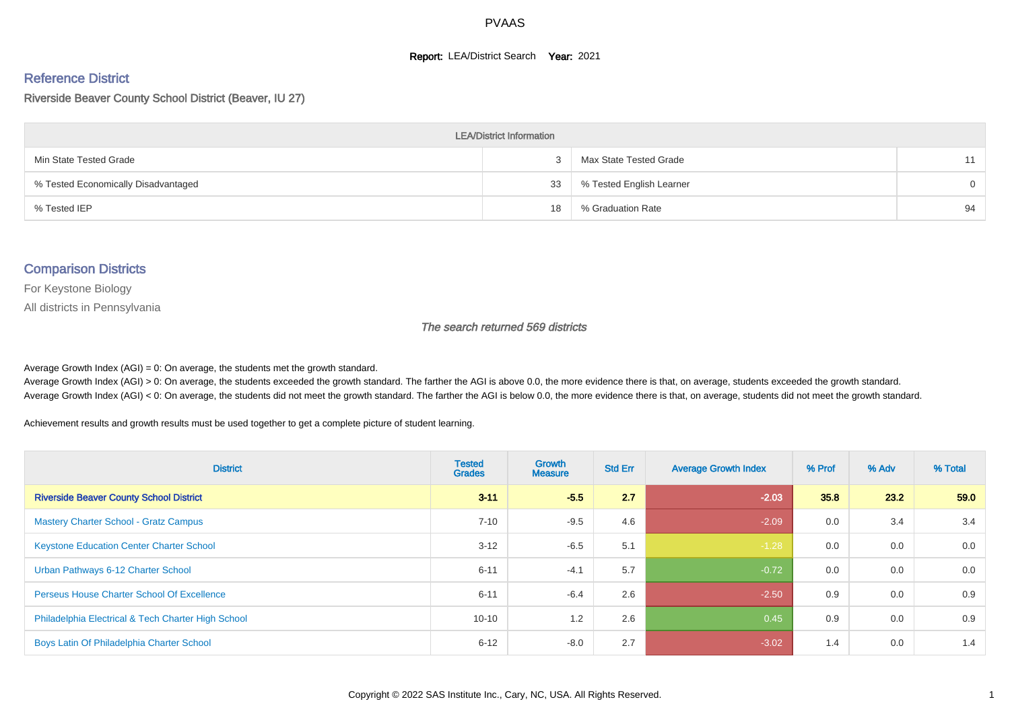#### **Report: LEA/District Search Year: 2021**

#### Reference District

#### Riverside Beaver County School District (Beaver, IU 27)

| <b>LEA/District Information</b>     |    |                          |          |  |  |  |  |  |  |  |
|-------------------------------------|----|--------------------------|----------|--|--|--|--|--|--|--|
| Min State Tested Grade              |    | Max State Tested Grade   |          |  |  |  |  |  |  |  |
| % Tested Economically Disadvantaged | 33 | % Tested English Learner | $\Omega$ |  |  |  |  |  |  |  |
| % Tested IEP                        | 18 | % Graduation Rate        | 94       |  |  |  |  |  |  |  |

#### Comparison Districts

For Keystone Biology

All districts in Pennsylvania

The search returned 569 districts

Average Growth Index  $(AGI) = 0$ : On average, the students met the growth standard.

Average Growth Index (AGI) > 0: On average, the students exceeded the growth standard. The farther the AGI is above 0.0, the more evidence there is that, on average, students exceeded the growth standard. Average Growth Index (AGI) < 0: On average, the students did not meet the growth standard. The farther the AGI is below 0.0, the more evidence there is that, on average, students did not meet the growth standard.

Achievement results and growth results must be used together to get a complete picture of student learning.

| <b>District</b>                                    | <b>Tested</b><br><b>Grades</b> | <b>Growth</b><br><b>Measure</b> | <b>Std Err</b> | <b>Average Growth Index</b> | % Prof | % Adv | % Total |
|----------------------------------------------------|--------------------------------|---------------------------------|----------------|-----------------------------|--------|-------|---------|
| <b>Riverside Beaver County School District</b>     | $3 - 11$                       | $-5.5$                          | 2.7            | $-2.03$                     | 35.8   | 23.2  | 59.0    |
| <b>Mastery Charter School - Gratz Campus</b>       | $7 - 10$                       | $-9.5$                          | 4.6            | $-2.09$                     | 0.0    | 3.4   | 3.4     |
| <b>Keystone Education Center Charter School</b>    | $3 - 12$                       | $-6.5$                          | 5.1            | $-1.28$                     | 0.0    | 0.0   | 0.0     |
| Urban Pathways 6-12 Charter School                 | $6 - 11$                       | $-4.1$                          | 5.7            | $-0.72$                     | 0.0    | 0.0   | 0.0     |
| <b>Perseus House Charter School Of Excellence</b>  | $6 - 11$                       | $-6.4$                          | 2.6            | $-2.50$                     | 0.9    | 0.0   | 0.9     |
| Philadelphia Electrical & Tech Charter High School | $10 - 10$                      | 1.2                             | 2.6            | 0.45                        | 0.9    | 0.0   | 0.9     |
| Boys Latin Of Philadelphia Charter School          | $6 - 12$                       | $-8.0$                          | 2.7            | $-3.02$                     | 1.4    | 0.0   | 1.4     |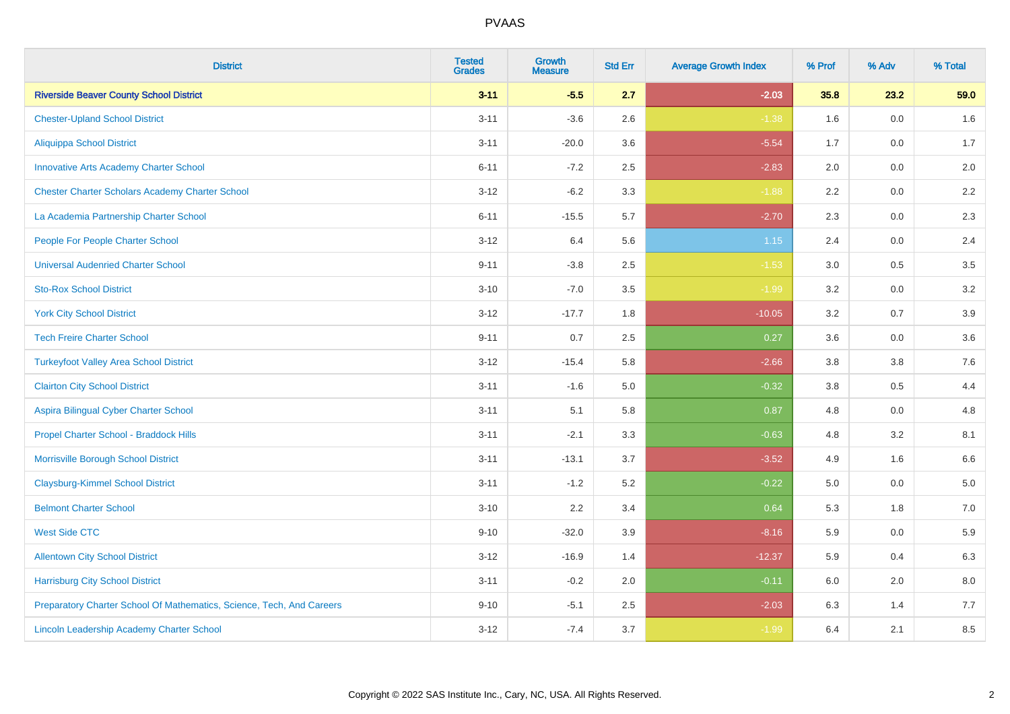| <b>District</b>                                                       | <b>Tested</b><br><b>Grades</b> | <b>Growth</b><br><b>Measure</b> | <b>Std Err</b> | <b>Average Growth Index</b> | % Prof  | % Adv   | % Total |
|-----------------------------------------------------------------------|--------------------------------|---------------------------------|----------------|-----------------------------|---------|---------|---------|
| <b>Riverside Beaver County School District</b>                        | $3 - 11$                       | $-5.5$                          | 2.7            | $-2.03$                     | 35.8    | 23.2    | 59.0    |
| <b>Chester-Upland School District</b>                                 | $3 - 11$                       | $-3.6$                          | 2.6            | $-1.38$                     | 1.6     | 0.0     | 1.6     |
| <b>Aliquippa School District</b>                                      | $3 - 11$                       | $-20.0$                         | 3.6            | $-5.54$                     | 1.7     | 0.0     | 1.7     |
| <b>Innovative Arts Academy Charter School</b>                         | $6 - 11$                       | $-7.2$                          | 2.5            | $-2.83$                     | 2.0     | 0.0     | 2.0     |
| <b>Chester Charter Scholars Academy Charter School</b>                | $3 - 12$                       | $-6.2$                          | 3.3            | $-1.88$                     | 2.2     | 0.0     | $2.2\,$ |
| La Academia Partnership Charter School                                | $6 - 11$                       | $-15.5$                         | 5.7            | $-2.70$                     | 2.3     | 0.0     | 2.3     |
| People For People Charter School                                      | $3 - 12$                       | 6.4                             | 5.6            | 1.15                        | 2.4     | 0.0     | $2.4\,$ |
| <b>Universal Audenried Charter School</b>                             | $9 - 11$                       | $-3.8$                          | 2.5            | $-1.53$                     | 3.0     | 0.5     | 3.5     |
| <b>Sto-Rox School District</b>                                        | $3 - 10$                       | $-7.0$                          | 3.5            | $-1.99$                     | 3.2     | 0.0     | 3.2     |
| <b>York City School District</b>                                      | $3 - 12$                       | $-17.7$                         | 1.8            | $-10.05$                    | 3.2     | 0.7     | 3.9     |
| <b>Tech Freire Charter School</b>                                     | $9 - 11$                       | 0.7                             | 2.5            | 0.27                        | 3.6     | 0.0     | 3.6     |
| <b>Turkeyfoot Valley Area School District</b>                         | $3 - 12$                       | $-15.4$                         | 5.8            | $-2.66$                     | 3.8     | 3.8     | 7.6     |
| <b>Clairton City School District</b>                                  | $3 - 11$                       | $-1.6$                          | $5.0\,$        | $-0.32$                     | $3.8\,$ | 0.5     | 4.4     |
| Aspira Bilingual Cyber Charter School                                 | $3 - 11$                       | 5.1                             | 5.8            | 0.87                        | 4.8     | 0.0     | 4.8     |
| Propel Charter School - Braddock Hills                                | $3 - 11$                       | $-2.1$                          | 3.3            | $-0.63$                     | 4.8     | 3.2     | 8.1     |
| Morrisville Borough School District                                   | $3 - 11$                       | $-13.1$                         | 3.7            | $-3.52$                     | 4.9     | 1.6     | 6.6     |
| <b>Claysburg-Kimmel School District</b>                               | $3 - 11$                       | $-1.2$                          | 5.2            | $-0.22$                     | 5.0     | 0.0     | 5.0     |
| <b>Belmont Charter School</b>                                         | $3 - 10$                       | 2.2                             | 3.4            | 0.64                        | 5.3     | 1.8     | $7.0\,$ |
| <b>West Side CTC</b>                                                  | $9 - 10$                       | $-32.0$                         | 3.9            | $-8.16$                     | 5.9     | 0.0     | 5.9     |
| <b>Allentown City School District</b>                                 | $3 - 12$                       | $-16.9$                         | 1.4            | $-12.37$                    | 5.9     | 0.4     | 6.3     |
| <b>Harrisburg City School District</b>                                | $3 - 11$                       | $-0.2$                          | 2.0            | $-0.11$                     | 6.0     | $2.0\,$ | $8.0\,$ |
| Preparatory Charter School Of Mathematics, Science, Tech, And Careers | $9 - 10$                       | $-5.1$                          | 2.5            | $-2.03$                     | 6.3     | 1.4     | 7.7     |
| Lincoln Leadership Academy Charter School                             | $3 - 12$                       | $-7.4$                          | 3.7            | $-1.99$                     | 6.4     | 2.1     | 8.5     |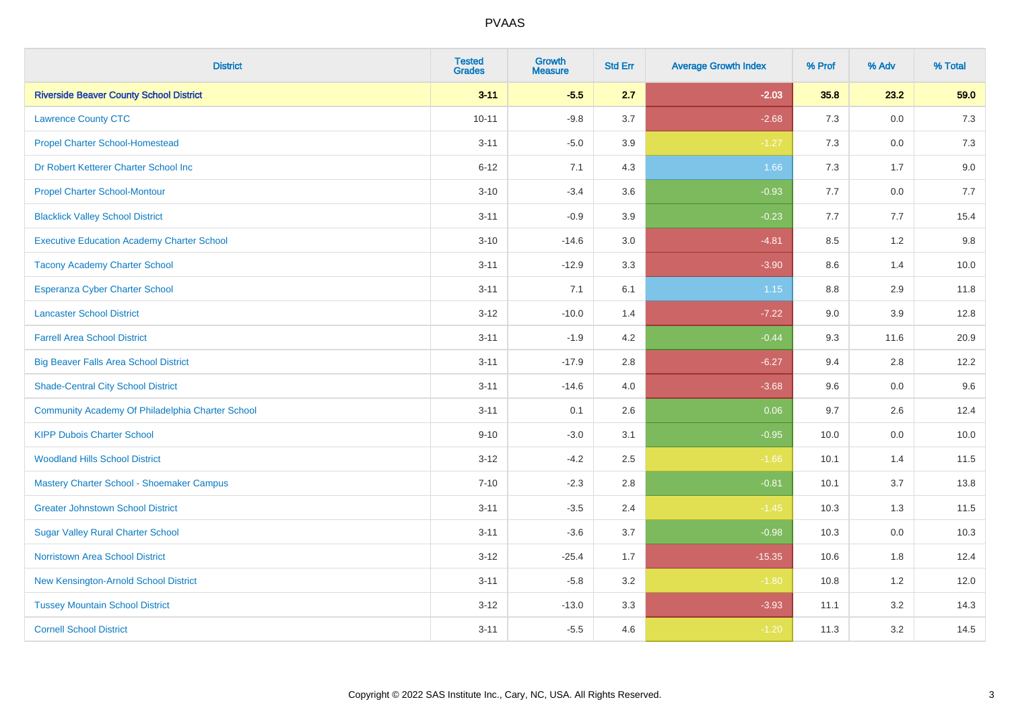| <b>District</b>                                   | <b>Tested</b><br><b>Grades</b> | <b>Growth</b><br><b>Measure</b> | <b>Std Err</b> | <b>Average Growth Index</b> | % Prof | % Adv   | % Total |
|---------------------------------------------------|--------------------------------|---------------------------------|----------------|-----------------------------|--------|---------|---------|
| <b>Riverside Beaver County School District</b>    | $3 - 11$                       | $-5.5$                          | 2.7            | $-2.03$                     | 35.8   | 23.2    | 59.0    |
| <b>Lawrence County CTC</b>                        | $10 - 11$                      | $-9.8$                          | 3.7            | $-2.68$                     | 7.3    | 0.0     | 7.3     |
| <b>Propel Charter School-Homestead</b>            | $3 - 11$                       | $-5.0$                          | 3.9            | $-1.27$                     | 7.3    | 0.0     | $7.3$   |
| Dr Robert Ketterer Charter School Inc             | $6 - 12$                       | 7.1                             | 4.3            | 1.66                        | 7.3    | 1.7     | 9.0     |
| <b>Propel Charter School-Montour</b>              | $3 - 10$                       | $-3.4$                          | 3.6            | $-0.93$                     | 7.7    | 0.0     | 7.7     |
| <b>Blacklick Valley School District</b>           | $3 - 11$                       | $-0.9$                          | 3.9            | $-0.23$                     | 7.7    | 7.7     | 15.4    |
| <b>Executive Education Academy Charter School</b> | $3 - 10$                       | $-14.6$                         | 3.0            | $-4.81$                     | 8.5    | 1.2     | 9.8     |
| <b>Tacony Academy Charter School</b>              | $3 - 11$                       | $-12.9$                         | 3.3            | $-3.90$                     | 8.6    | 1.4     | 10.0    |
| <b>Esperanza Cyber Charter School</b>             | $3 - 11$                       | 7.1                             | 6.1            | 1.15                        | 8.8    | 2.9     | 11.8    |
| <b>Lancaster School District</b>                  | $3 - 12$                       | $-10.0$                         | 1.4            | $-7.22$                     | 9.0    | 3.9     | 12.8    |
| <b>Farrell Area School District</b>               | $3 - 11$                       | $-1.9$                          | 4.2            | $-0.44$                     | 9.3    | 11.6    | 20.9    |
| <b>Big Beaver Falls Area School District</b>      | $3 - 11$                       | $-17.9$                         | 2.8            | $-6.27$                     | 9.4    | 2.8     | 12.2    |
| <b>Shade-Central City School District</b>         | $3 - 11$                       | $-14.6$                         | 4.0            | $-3.68$                     | 9.6    | $0.0\,$ | 9.6     |
| Community Academy Of Philadelphia Charter School  | $3 - 11$                       | 0.1                             | 2.6            | 0.06                        | 9.7    | 2.6     | 12.4    |
| <b>KIPP Dubois Charter School</b>                 | $9 - 10$                       | $-3.0$                          | 3.1            | $-0.95$                     | 10.0   | 0.0     | 10.0    |
| <b>Woodland Hills School District</b>             | $3 - 12$                       | $-4.2$                          | 2.5            | $-1.66$                     | 10.1   | 1.4     | 11.5    |
| Mastery Charter School - Shoemaker Campus         | $7 - 10$                       | $-2.3$                          | 2.8            | $-0.81$                     | 10.1   | 3.7     | 13.8    |
| <b>Greater Johnstown School District</b>          | $3 - 11$                       | $-3.5$                          | 2.4            | $-1.45$                     | 10.3   | 1.3     | 11.5    |
| <b>Sugar Valley Rural Charter School</b>          | $3 - 11$                       | $-3.6$                          | 3.7            | $-0.98$                     | 10.3   | 0.0     | 10.3    |
| <b>Norristown Area School District</b>            | $3 - 12$                       | $-25.4$                         | 1.7            | $-15.35$                    | 10.6   | 1.8     | 12.4    |
| New Kensington-Arnold School District             | $3 - 11$                       | $-5.8$                          | 3.2            | $-1.80$                     | 10.8   | 1.2     | 12.0    |
| <b>Tussey Mountain School District</b>            | $3 - 12$                       | $-13.0$                         | 3.3            | $-3.93$                     | 11.1   | 3.2     | 14.3    |
| <b>Cornell School District</b>                    | $3 - 11$                       | $-5.5$                          | 4.6            | $-1.20$                     | 11.3   | 3.2     | 14.5    |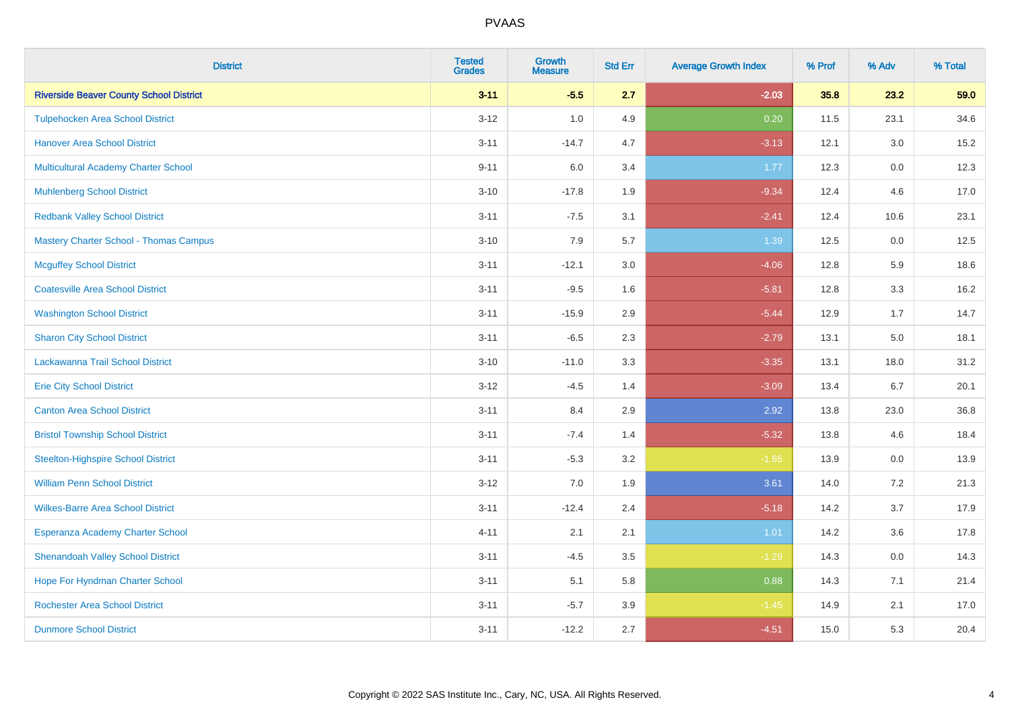| <b>District</b>                                | <b>Tested</b><br><b>Grades</b> | <b>Growth</b><br><b>Measure</b> | <b>Std Err</b> | <b>Average Growth Index</b> | % Prof | % Adv   | % Total |
|------------------------------------------------|--------------------------------|---------------------------------|----------------|-----------------------------|--------|---------|---------|
| <b>Riverside Beaver County School District</b> | $3 - 11$                       | $-5.5$                          | 2.7            | $-2.03$                     | 35.8   | 23.2    | 59.0    |
| <b>Tulpehocken Area School District</b>        | $3 - 12$                       | 1.0                             | 4.9            | 0.20                        | 11.5   | 23.1    | 34.6    |
| <b>Hanover Area School District</b>            | $3 - 11$                       | $-14.7$                         | 4.7            | $-3.13$                     | 12.1   | 3.0     | 15.2    |
| <b>Multicultural Academy Charter School</b>    | $9 - 11$                       | 6.0                             | 3.4            | 1.77                        | 12.3   | 0.0     | 12.3    |
| <b>Muhlenberg School District</b>              | $3 - 10$                       | $-17.8$                         | 1.9            | $-9.34$                     | 12.4   | 4.6     | 17.0    |
| <b>Redbank Valley School District</b>          | $3 - 11$                       | $-7.5$                          | 3.1            | $-2.41$                     | 12.4   | 10.6    | 23.1    |
| <b>Mastery Charter School - Thomas Campus</b>  | $3 - 10$                       | 7.9                             | 5.7            | 1.39                        | 12.5   | 0.0     | 12.5    |
| <b>Mcguffey School District</b>                | $3 - 11$                       | $-12.1$                         | 3.0            | $-4.06$                     | 12.8   | 5.9     | 18.6    |
| <b>Coatesville Area School District</b>        | $3 - 11$                       | $-9.5$                          | 1.6            | $-5.81$                     | 12.8   | 3.3     | 16.2    |
| <b>Washington School District</b>              | $3 - 11$                       | $-15.9$                         | 2.9            | $-5.44$                     | 12.9   | 1.7     | 14.7    |
| <b>Sharon City School District</b>             | $3 - 11$                       | $-6.5$                          | 2.3            | $-2.79$                     | 13.1   | 5.0     | 18.1    |
| Lackawanna Trail School District               | $3 - 10$                       | $-11.0$                         | 3.3            | $-3.35$                     | 13.1   | 18.0    | 31.2    |
| <b>Erie City School District</b>               | $3 - 12$                       | $-4.5$                          | 1.4            | $-3.09$                     | 13.4   | 6.7     | 20.1    |
| <b>Canton Area School District</b>             | $3 - 11$                       | 8.4                             | 2.9            | 2.92                        | 13.8   | 23.0    | 36.8    |
| <b>Bristol Township School District</b>        | $3 - 11$                       | $-7.4$                          | 1.4            | $-5.32$                     | 13.8   | 4.6     | 18.4    |
| <b>Steelton-Highspire School District</b>      | $3 - 11$                       | $-5.3$                          | 3.2            | $-1.65$                     | 13.9   | $0.0\,$ | 13.9    |
| <b>William Penn School District</b>            | $3 - 12$                       | 7.0                             | 1.9            | 3.61                        | 14.0   | 7.2     | 21.3    |
| <b>Wilkes-Barre Area School District</b>       | $3 - 11$                       | $-12.4$                         | 2.4            | $-5.18$                     | 14.2   | 3.7     | 17.9    |
| Esperanza Academy Charter School               | $4 - 11$                       | 2.1                             | 2.1            | 1.01                        | 14.2   | 3.6     | 17.8    |
| <b>Shenandoah Valley School District</b>       | $3 - 11$                       | $-4.5$                          | 3.5            | $-1.29$                     | 14.3   | 0.0     | 14.3    |
| Hope For Hyndman Charter School                | $3 - 11$                       | 5.1                             | 5.8            | 0.88                        | 14.3   | 7.1     | 21.4    |
| <b>Rochester Area School District</b>          | $3 - 11$                       | $-5.7$                          | 3.9            | $-1.45$                     | 14.9   | 2.1     | 17.0    |
| <b>Dunmore School District</b>                 | $3 - 11$                       | $-12.2$                         | 2.7            | $-4.51$                     | 15.0   | 5.3     | 20.4    |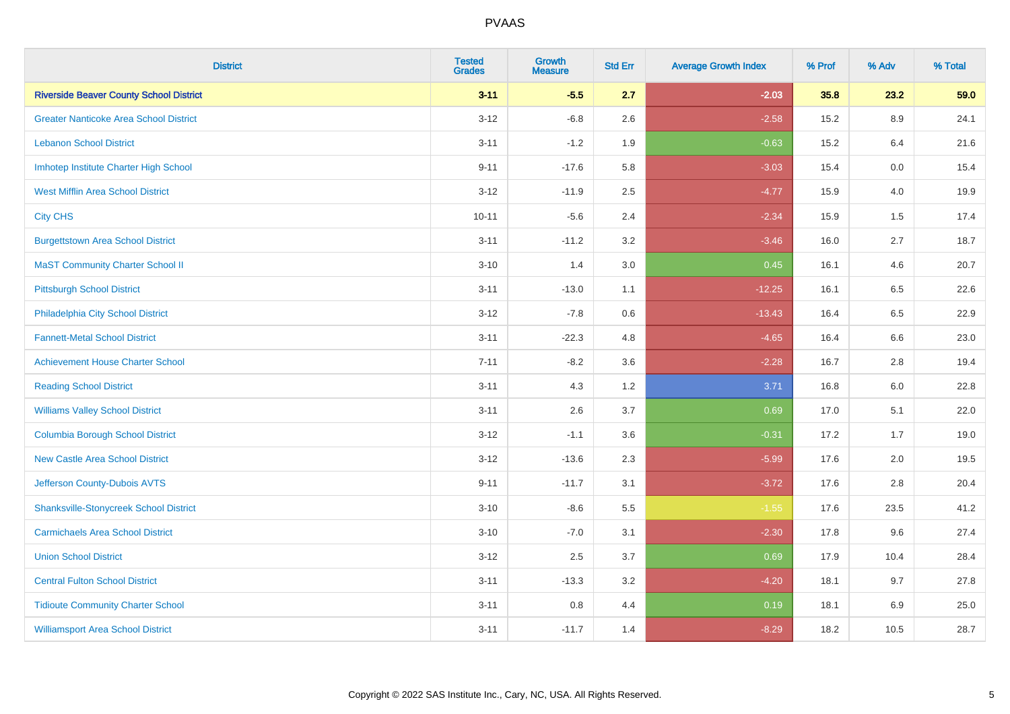| <b>District</b>                                | <b>Tested</b><br><b>Grades</b> | <b>Growth</b><br><b>Measure</b> | <b>Std Err</b> | <b>Average Growth Index</b> | % Prof | % Adv | % Total |
|------------------------------------------------|--------------------------------|---------------------------------|----------------|-----------------------------|--------|-------|---------|
| <b>Riverside Beaver County School District</b> | $3 - 11$                       | $-5.5$                          | 2.7            | $-2.03$                     | 35.8   | 23.2  | 59.0    |
| <b>Greater Nanticoke Area School District</b>  | $3 - 12$                       | $-6.8$                          | 2.6            | $-2.58$                     | 15.2   | 8.9   | 24.1    |
| <b>Lebanon School District</b>                 | $3 - 11$                       | $-1.2$                          | 1.9            | $-0.63$                     | 15.2   | 6.4   | 21.6    |
| Imhotep Institute Charter High School          | $9 - 11$                       | $-17.6$                         | 5.8            | $-3.03$                     | 15.4   | 0.0   | 15.4    |
| <b>West Mifflin Area School District</b>       | $3 - 12$                       | $-11.9$                         | 2.5            | $-4.77$                     | 15.9   | 4.0   | 19.9    |
| <b>City CHS</b>                                | $10 - 11$                      | $-5.6$                          | 2.4            | $-2.34$                     | 15.9   | 1.5   | 17.4    |
| <b>Burgettstown Area School District</b>       | $3 - 11$                       | $-11.2$                         | 3.2            | $-3.46$                     | 16.0   | 2.7   | 18.7    |
| <b>MaST Community Charter School II</b>        | $3 - 10$                       | 1.4                             | 3.0            | 0.45                        | 16.1   | 4.6   | 20.7    |
| <b>Pittsburgh School District</b>              | $3 - 11$                       | $-13.0$                         | 1.1            | $-12.25$                    | 16.1   | 6.5   | 22.6    |
| Philadelphia City School District              | $3 - 12$                       | $-7.8$                          | 0.6            | $-13.43$                    | 16.4   | 6.5   | 22.9    |
| <b>Fannett-Metal School District</b>           | $3 - 11$                       | $-22.3$                         | 4.8            | $-4.65$                     | 16.4   | 6.6   | 23.0    |
| <b>Achievement House Charter School</b>        | $7 - 11$                       | $-8.2$                          | 3.6            | $-2.28$                     | 16.7   | 2.8   | 19.4    |
| <b>Reading School District</b>                 | $3 - 11$                       | 4.3                             | 1.2            | 3.71                        | 16.8   | 6.0   | 22.8    |
| <b>Williams Valley School District</b>         | $3 - 11$                       | 2.6                             | 3.7            | 0.69                        | 17.0   | 5.1   | 22.0    |
| <b>Columbia Borough School District</b>        | $3 - 12$                       | $-1.1$                          | 3.6            | $-0.31$                     | 17.2   | 1.7   | 19.0    |
| <b>New Castle Area School District</b>         | $3 - 12$                       | $-13.6$                         | 2.3            | $-5.99$                     | 17.6   | 2.0   | 19.5    |
| Jefferson County-Dubois AVTS                   | $9 - 11$                       | $-11.7$                         | 3.1            | $-3.72$                     | 17.6   | 2.8   | 20.4    |
| <b>Shanksville-Stonycreek School District</b>  | $3 - 10$                       | $-8.6$                          | 5.5            | $-1.55$                     | 17.6   | 23.5  | 41.2    |
| <b>Carmichaels Area School District</b>        | $3 - 10$                       | $-7.0$                          | 3.1            | $-2.30$                     | 17.8   | 9.6   | 27.4    |
| <b>Union School District</b>                   | $3 - 12$                       | 2.5                             | 3.7            | 0.69                        | 17.9   | 10.4  | 28.4    |
| <b>Central Fulton School District</b>          | $3 - 11$                       | $-13.3$                         | 3.2            | $-4.20$                     | 18.1   | 9.7   | 27.8    |
| <b>Tidioute Community Charter School</b>       | $3 - 11$                       | 0.8                             | 4.4            | 0.19                        | 18.1   | 6.9   | 25.0    |
| <b>Williamsport Area School District</b>       | $3 - 11$                       | $-11.7$                         | 1.4            | $-8.29$                     | 18.2   | 10.5  | 28.7    |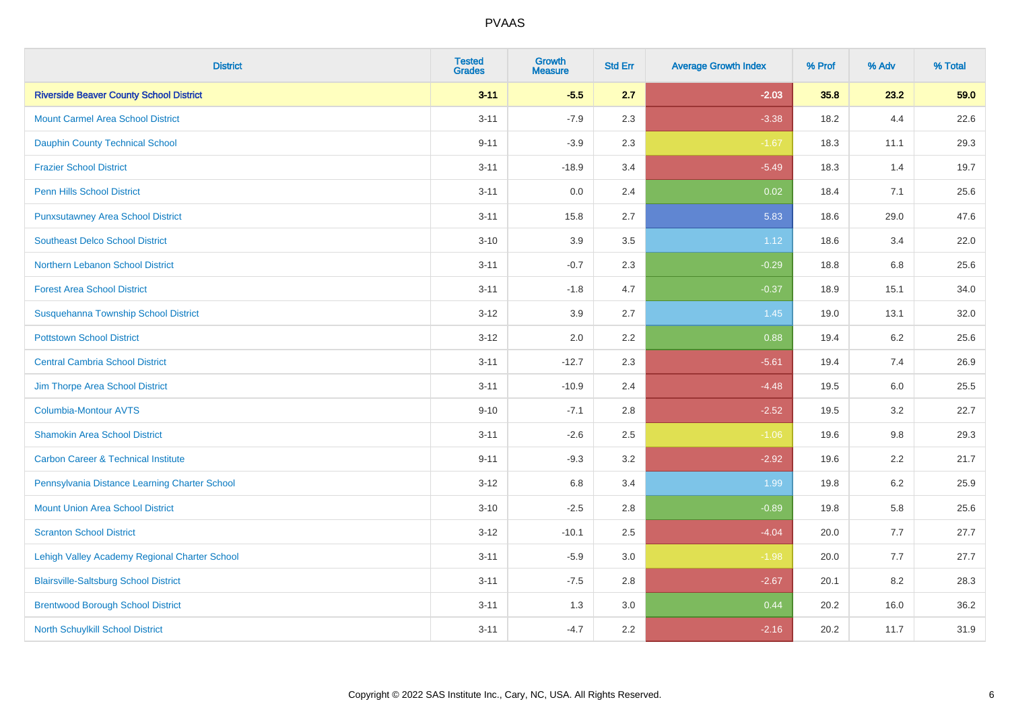| <b>District</b>                                | <b>Tested</b><br><b>Grades</b> | <b>Growth</b><br><b>Measure</b> | <b>Std Err</b> | <b>Average Growth Index</b> | % Prof | % Adv | % Total |
|------------------------------------------------|--------------------------------|---------------------------------|----------------|-----------------------------|--------|-------|---------|
| <b>Riverside Beaver County School District</b> | $3 - 11$                       | $-5.5$                          | 2.7            | $-2.03$                     | 35.8   | 23.2  | 59.0    |
| <b>Mount Carmel Area School District</b>       | $3 - 11$                       | $-7.9$                          | 2.3            | $-3.38$                     | 18.2   | 4.4   | 22.6    |
| <b>Dauphin County Technical School</b>         | $9 - 11$                       | $-3.9$                          | 2.3            | $-1.67$                     | 18.3   | 11.1  | 29.3    |
| <b>Frazier School District</b>                 | $3 - 11$                       | $-18.9$                         | 3.4            | $-5.49$                     | 18.3   | 1.4   | 19.7    |
| <b>Penn Hills School District</b>              | $3 - 11$                       | 0.0                             | 2.4            | 0.02                        | 18.4   | 7.1   | 25.6    |
| <b>Punxsutawney Area School District</b>       | $3 - 11$                       | 15.8                            | 2.7            | 5.83                        | 18.6   | 29.0  | 47.6    |
| <b>Southeast Delco School District</b>         | $3 - 10$                       | 3.9                             | 3.5            | 1.12                        | 18.6   | 3.4   | 22.0    |
| <b>Northern Lebanon School District</b>        | $3 - 11$                       | $-0.7$                          | 2.3            | $-0.29$                     | 18.8   | 6.8   | 25.6    |
| <b>Forest Area School District</b>             | $3 - 11$                       | $-1.8$                          | 4.7            | $-0.37$                     | 18.9   | 15.1  | 34.0    |
| Susquehanna Township School District           | $3 - 12$                       | 3.9                             | 2.7            | 1.45                        | 19.0   | 13.1  | 32.0    |
| <b>Pottstown School District</b>               | $3 - 12$                       | 2.0                             | 2.2            | 0.88                        | 19.4   | 6.2   | 25.6    |
| <b>Central Cambria School District</b>         | $3 - 11$                       | $-12.7$                         | 2.3            | $-5.61$                     | 19.4   | 7.4   | 26.9    |
| Jim Thorpe Area School District                | $3 - 11$                       | $-10.9$                         | 2.4            | $-4.48$                     | 19.5   | 6.0   | 25.5    |
| <b>Columbia-Montour AVTS</b>                   | $9 - 10$                       | $-7.1$                          | 2.8            | $-2.52$                     | 19.5   | 3.2   | 22.7    |
| <b>Shamokin Area School District</b>           | $3 - 11$                       | $-2.6$                          | 2.5            | $-1.06$                     | 19.6   | 9.8   | 29.3    |
| <b>Carbon Career &amp; Technical Institute</b> | $9 - 11$                       | $-9.3$                          | 3.2            | $-2.92$                     | 19.6   | 2.2   | 21.7    |
| Pennsylvania Distance Learning Charter School  | $3 - 12$                       | 6.8                             | 3.4            | 1.99                        | 19.8   | 6.2   | 25.9    |
| <b>Mount Union Area School District</b>        | $3 - 10$                       | $-2.5$                          | 2.8            | $-0.89$                     | 19.8   | 5.8   | 25.6    |
| <b>Scranton School District</b>                | $3 - 12$                       | $-10.1$                         | 2.5            | $-4.04$                     | 20.0   | 7.7   | 27.7    |
| Lehigh Valley Academy Regional Charter School  | $3 - 11$                       | $-5.9$                          | 3.0            | $-1.98$                     | 20.0   | 7.7   | 27.7    |
| <b>Blairsville-Saltsburg School District</b>   | $3 - 11$                       | $-7.5$                          | 2.8            | $-2.67$                     | 20.1   | 8.2   | 28.3    |
| <b>Brentwood Borough School District</b>       | $3 - 11$                       | 1.3                             | 3.0            | 0.44                        | 20.2   | 16.0  | 36.2    |
| North Schuylkill School District               | $3 - 11$                       | $-4.7$                          | 2.2            | $-2.16$                     | 20.2   | 11.7  | 31.9    |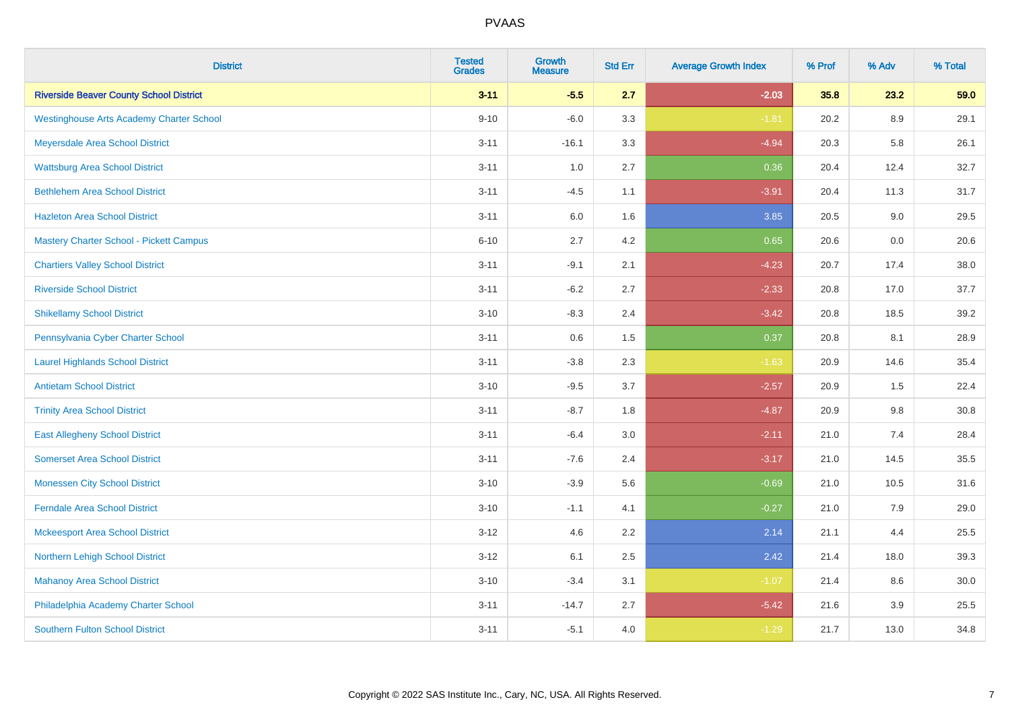| <b>District</b>                                 | <b>Tested</b><br><b>Grades</b> | <b>Growth</b><br><b>Measure</b> | <b>Std Err</b> | <b>Average Growth Index</b> | % Prof | % Adv   | % Total |
|-------------------------------------------------|--------------------------------|---------------------------------|----------------|-----------------------------|--------|---------|---------|
| <b>Riverside Beaver County School District</b>  | $3 - 11$                       | $-5.5$                          | 2.7            | $-2.03$                     | 35.8   | 23.2    | 59.0    |
| <b>Westinghouse Arts Academy Charter School</b> | $9 - 10$                       | $-6.0$                          | 3.3            | $-1.81$                     | 20.2   | 8.9     | 29.1    |
| Meyersdale Area School District                 | $3 - 11$                       | $-16.1$                         | 3.3            | $-4.94$                     | 20.3   | 5.8     | 26.1    |
| <b>Wattsburg Area School District</b>           | $3 - 11$                       | 1.0                             | 2.7            | 0.36                        | 20.4   | 12.4    | 32.7    |
| <b>Bethlehem Area School District</b>           | $3 - 11$                       | $-4.5$                          | 1.1            | $-3.91$                     | 20.4   | 11.3    | 31.7    |
| <b>Hazleton Area School District</b>            | $3 - 11$                       | 6.0                             | 1.6            | 3.85                        | 20.5   | 9.0     | 29.5    |
| <b>Mastery Charter School - Pickett Campus</b>  | $6 - 10$                       | 2.7                             | 4.2            | 0.65                        | 20.6   | 0.0     | 20.6    |
| <b>Chartiers Valley School District</b>         | $3 - 11$                       | $-9.1$                          | 2.1            | $-4.23$                     | 20.7   | 17.4    | 38.0    |
| <b>Riverside School District</b>                | $3 - 11$                       | $-6.2$                          | 2.7            | $-2.33$                     | 20.8   | 17.0    | 37.7    |
| <b>Shikellamy School District</b>               | $3 - 10$                       | $-8.3$                          | 2.4            | $-3.42$                     | 20.8   | 18.5    | 39.2    |
| Pennsylvania Cyber Charter School               | $3 - 11$                       | 0.6                             | 1.5            | 0.37                        | 20.8   | 8.1     | 28.9    |
| <b>Laurel Highlands School District</b>         | $3 - 11$                       | $-3.8$                          | 2.3            | $-1.63$                     | 20.9   | 14.6    | 35.4    |
| <b>Antietam School District</b>                 | $3 - 10$                       | $-9.5$                          | 3.7            | $-2.57$                     | 20.9   | 1.5     | 22.4    |
| <b>Trinity Area School District</b>             | $3 - 11$                       | $-8.7$                          | 1.8            | $-4.87$                     | 20.9   | $9.8\,$ | 30.8    |
| <b>East Allegheny School District</b>           | $3 - 11$                       | $-6.4$                          | 3.0            | $-2.11$                     | 21.0   | 7.4     | 28.4    |
| <b>Somerset Area School District</b>            | $3 - 11$                       | $-7.6$                          | 2.4            | $-3.17$                     | 21.0   | 14.5    | 35.5    |
| <b>Monessen City School District</b>            | $3 - 10$                       | $-3.9$                          | 5.6            | $-0.69$                     | 21.0   | 10.5    | 31.6    |
| <b>Ferndale Area School District</b>            | $3 - 10$                       | $-1.1$                          | 4.1            | $-0.27$                     | 21.0   | 7.9     | 29.0    |
| <b>Mckeesport Area School District</b>          | $3 - 12$                       | 4.6                             | 2.2            | 2.14                        | 21.1   | 4.4     | 25.5    |
| Northern Lehigh School District                 | $3 - 12$                       | 6.1                             | 2.5            | 2.42                        | 21.4   | 18.0    | 39.3    |
| <b>Mahanoy Area School District</b>             | $3 - 10$                       | $-3.4$                          | 3.1            | $-1.07$                     | 21.4   | 8.6     | 30.0    |
| Philadelphia Academy Charter School             | $3 - 11$                       | $-14.7$                         | 2.7            | $-5.42$                     | 21.6   | 3.9     | 25.5    |
| <b>Southern Fulton School District</b>          | $3 - 11$                       | $-5.1$                          | 4.0            | $-1.29$                     | 21.7   | 13.0    | 34.8    |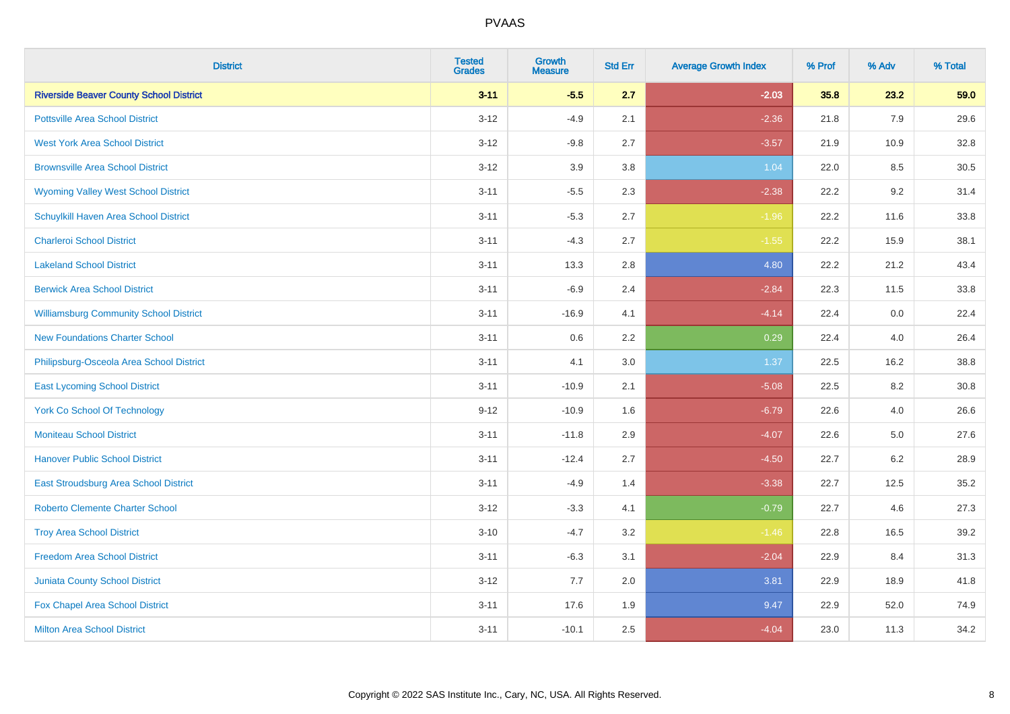| <b>District</b>                                | <b>Tested</b><br><b>Grades</b> | <b>Growth</b><br><b>Measure</b> | <b>Std Err</b> | <b>Average Growth Index</b> | % Prof | % Adv | % Total |
|------------------------------------------------|--------------------------------|---------------------------------|----------------|-----------------------------|--------|-------|---------|
| <b>Riverside Beaver County School District</b> | $3 - 11$                       | $-5.5$                          | 2.7            | $-2.03$                     | 35.8   | 23.2  | 59.0    |
| <b>Pottsville Area School District</b>         | $3 - 12$                       | $-4.9$                          | 2.1            | $-2.36$                     | 21.8   | 7.9   | 29.6    |
| <b>West York Area School District</b>          | $3 - 12$                       | $-9.8$                          | 2.7            | $-3.57$                     | 21.9   | 10.9  | 32.8    |
| <b>Brownsville Area School District</b>        | $3 - 12$                       | 3.9                             | 3.8            | 1.04                        | 22.0   | 8.5   | 30.5    |
| <b>Wyoming Valley West School District</b>     | $3 - 11$                       | $-5.5$                          | 2.3            | $-2.38$                     | 22.2   | 9.2   | 31.4    |
| Schuylkill Haven Area School District          | $3 - 11$                       | $-5.3$                          | 2.7            | $-1.96$                     | 22.2   | 11.6  | 33.8    |
| <b>Charleroi School District</b>               | $3 - 11$                       | $-4.3$                          | 2.7            | $-1.55$                     | 22.2   | 15.9  | 38.1    |
| <b>Lakeland School District</b>                | $3 - 11$                       | 13.3                            | 2.8            | 4.80                        | 22.2   | 21.2  | 43.4    |
| <b>Berwick Area School District</b>            | $3 - 11$                       | $-6.9$                          | 2.4            | $-2.84$                     | 22.3   | 11.5  | 33.8    |
| <b>Williamsburg Community School District</b>  | $3 - 11$                       | $-16.9$                         | 4.1            | $-4.14$                     | 22.4   | 0.0   | 22.4    |
| <b>New Foundations Charter School</b>          | $3 - 11$                       | 0.6                             | 2.2            | 0.29                        | 22.4   | 4.0   | 26.4    |
| Philipsburg-Osceola Area School District       | $3 - 11$                       | 4.1                             | 3.0            | 1.37                        | 22.5   | 16.2  | 38.8    |
| <b>East Lycoming School District</b>           | $3 - 11$                       | $-10.9$                         | 2.1            | $-5.08$                     | 22.5   | 8.2   | 30.8    |
| <b>York Co School Of Technology</b>            | $9 - 12$                       | $-10.9$                         | 1.6            | $-6.79$                     | 22.6   | 4.0   | 26.6    |
| <b>Moniteau School District</b>                | $3 - 11$                       | $-11.8$                         | 2.9            | $-4.07$                     | 22.6   | 5.0   | 27.6    |
| <b>Hanover Public School District</b>          | $3 - 11$                       | $-12.4$                         | 2.7            | $-4.50$                     | 22.7   | 6.2   | 28.9    |
| <b>East Stroudsburg Area School District</b>   | $3 - 11$                       | $-4.9$                          | 1.4            | $-3.38$                     | 22.7   | 12.5  | 35.2    |
| <b>Roberto Clemente Charter School</b>         | $3 - 12$                       | $-3.3$                          | 4.1            | $-0.79$                     | 22.7   | 4.6   | 27.3    |
| <b>Troy Area School District</b>               | $3 - 10$                       | $-4.7$                          | 3.2            | $-1.46$                     | 22.8   | 16.5  | 39.2    |
| <b>Freedom Area School District</b>            | $3 - 11$                       | $-6.3$                          | 3.1            | $-2.04$                     | 22.9   | 8.4   | 31.3    |
| Juniata County School District                 | $3 - 12$                       | 7.7                             | 2.0            | 3.81                        | 22.9   | 18.9  | 41.8    |
| Fox Chapel Area School District                | $3 - 11$                       | 17.6                            | 1.9            | 9.47                        | 22.9   | 52.0  | 74.9    |
| <b>Milton Area School District</b>             | $3 - 11$                       | $-10.1$                         | 2.5            | $-4.04$                     | 23.0   | 11.3  | 34.2    |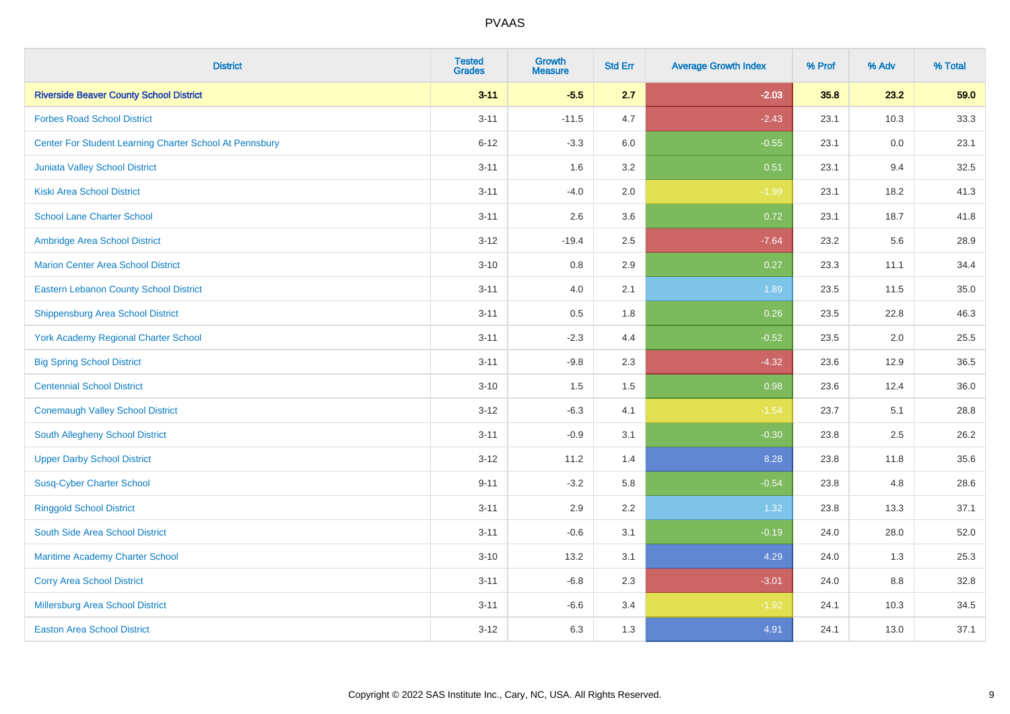| <b>District</b>                                         | <b>Tested</b><br><b>Grades</b> | <b>Growth</b><br><b>Measure</b> | <b>Std Err</b> | <b>Average Growth Index</b> | % Prof | % Adv | % Total |
|---------------------------------------------------------|--------------------------------|---------------------------------|----------------|-----------------------------|--------|-------|---------|
| <b>Riverside Beaver County School District</b>          | $3 - 11$                       | $-5.5$                          | 2.7            | $-2.03$                     | 35.8   | 23.2  | 59.0    |
| <b>Forbes Road School District</b>                      | $3 - 11$                       | $-11.5$                         | 4.7            | $-2.43$                     | 23.1   | 10.3  | 33.3    |
| Center For Student Learning Charter School At Pennsbury | $6 - 12$                       | $-3.3$                          | 6.0            | $-0.55$                     | 23.1   | 0.0   | 23.1    |
| Juniata Valley School District                          | $3 - 11$                       | 1.6                             | 3.2            | 0.51                        | 23.1   | 9.4   | 32.5    |
| <b>Kiski Area School District</b>                       | $3 - 11$                       | $-4.0$                          | 2.0            | $-1.99$                     | 23.1   | 18.2  | 41.3    |
| <b>School Lane Charter School</b>                       | $3 - 11$                       | 2.6                             | 3.6            | 0.72                        | 23.1   | 18.7  | 41.8    |
| Ambridge Area School District                           | $3 - 12$                       | $-19.4$                         | 2.5            | $-7.64$                     | 23.2   | 5.6   | 28.9    |
| <b>Marion Center Area School District</b>               | $3 - 10$                       | 0.8                             | 2.9            | 0.27                        | 23.3   | 11.1  | 34.4    |
| <b>Eastern Lebanon County School District</b>           | $3 - 11$                       | 4.0                             | 2.1            | 1.89                        | 23.5   | 11.5  | 35.0    |
| <b>Shippensburg Area School District</b>                | $3 - 11$                       | 0.5                             | 1.8            | 0.26                        | 23.5   | 22.8  | 46.3    |
| <b>York Academy Regional Charter School</b>             | $3 - 11$                       | $-2.3$                          | 4.4            | $-0.52$                     | 23.5   | 2.0   | 25.5    |
| <b>Big Spring School District</b>                       | $3 - 11$                       | $-9.8$                          | 2.3            | $-4.32$                     | 23.6   | 12.9  | 36.5    |
| <b>Centennial School District</b>                       | $3 - 10$                       | 1.5                             | 1.5            | 0.98                        | 23.6   | 12.4  | 36.0    |
| <b>Conemaugh Valley School District</b>                 | $3 - 12$                       | $-6.3$                          | 4.1            | $-1.54$                     | 23.7   | 5.1   | 28.8    |
| South Allegheny School District                         | $3 - 11$                       | $-0.9$                          | 3.1            | $-0.30$                     | 23.8   | 2.5   | 26.2    |
| <b>Upper Darby School District</b>                      | $3 - 12$                       | 11.2                            | 1.4            | 8.28                        | 23.8   | 11.8  | 35.6    |
| <b>Susq-Cyber Charter School</b>                        | $9 - 11$                       | $-3.2$                          | 5.8            | $-0.54$                     | 23.8   | 4.8   | 28.6    |
| <b>Ringgold School District</b>                         | $3 - 11$                       | 2.9                             | 2.2            | 1.32                        | 23.8   | 13.3  | 37.1    |
| South Side Area School District                         | $3 - 11$                       | $-0.6$                          | 3.1            | $-0.19$                     | 24.0   | 28.0  | 52.0    |
| Maritime Academy Charter School                         | $3 - 10$                       | 13.2                            | 3.1            | 4.29                        | 24.0   | 1.3   | 25.3    |
| <b>Corry Area School District</b>                       | $3 - 11$                       | $-6.8$                          | 2.3            | $-3.01$                     | 24.0   | 8.8   | 32.8    |
| Millersburg Area School District                        | $3 - 11$                       | $-6.6$                          | 3.4            | $-1.92$                     | 24.1   | 10.3  | 34.5    |
| <b>Easton Area School District</b>                      | $3 - 12$                       | 6.3                             | 1.3            | 4.91                        | 24.1   | 13.0  | 37.1    |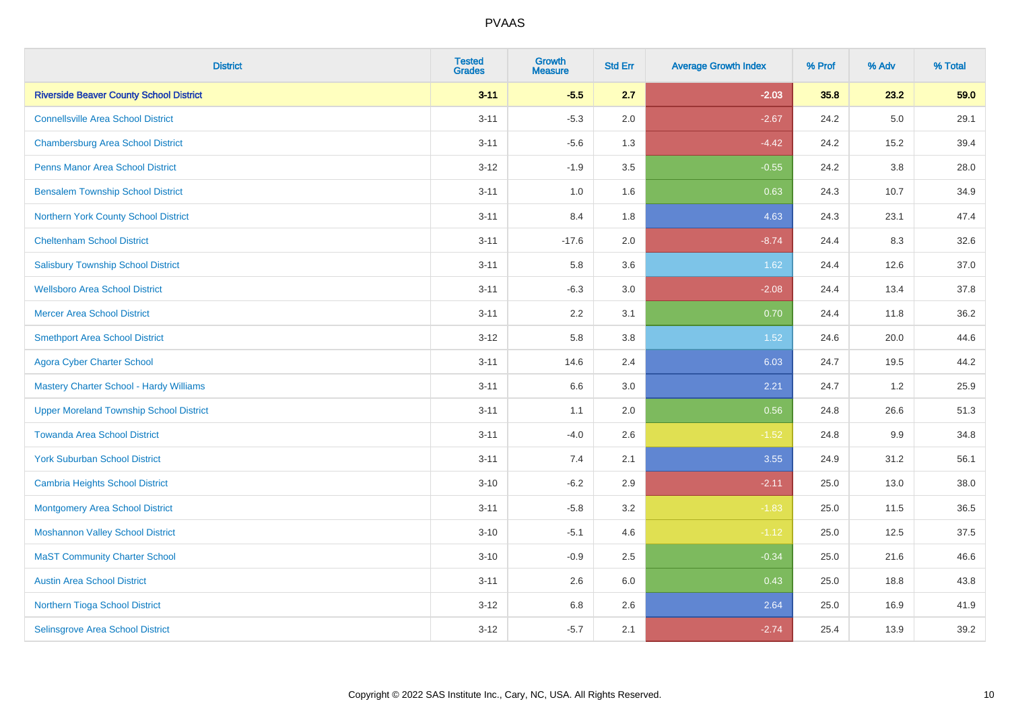| <b>District</b>                                | <b>Tested</b><br><b>Grades</b> | <b>Growth</b><br><b>Measure</b> | <b>Std Err</b> | <b>Average Growth Index</b> | % Prof | % Adv   | % Total |
|------------------------------------------------|--------------------------------|---------------------------------|----------------|-----------------------------|--------|---------|---------|
| <b>Riverside Beaver County School District</b> | $3 - 11$                       | $-5.5$                          | 2.7            | $-2.03$                     | 35.8   | 23.2    | 59.0    |
| <b>Connellsville Area School District</b>      | $3 - 11$                       | $-5.3$                          | 2.0            | $-2.67$                     | 24.2   | 5.0     | 29.1    |
| <b>Chambersburg Area School District</b>       | $3 - 11$                       | $-5.6$                          | 1.3            | $-4.42$                     | 24.2   | 15.2    | 39.4    |
| <b>Penns Manor Area School District</b>        | $3 - 12$                       | $-1.9$                          | 3.5            | $-0.55$                     | 24.2   | 3.8     | 28.0    |
| <b>Bensalem Township School District</b>       | $3 - 11$                       | 1.0                             | 1.6            | 0.63                        | 24.3   | 10.7    | 34.9    |
| Northern York County School District           | $3 - 11$                       | 8.4                             | 1.8            | 4.63                        | 24.3   | 23.1    | 47.4    |
| <b>Cheltenham School District</b>              | $3 - 11$                       | $-17.6$                         | 2.0            | $-8.74$                     | 24.4   | 8.3     | 32.6    |
| <b>Salisbury Township School District</b>      | $3 - 11$                       | 5.8                             | 3.6            | 1.62                        | 24.4   | 12.6    | 37.0    |
| <b>Wellsboro Area School District</b>          | $3 - 11$                       | $-6.3$                          | 3.0            | $-2.08$                     | 24.4   | 13.4    | 37.8    |
| <b>Mercer Area School District</b>             | $3 - 11$                       | 2.2                             | 3.1            | 0.70                        | 24.4   | 11.8    | 36.2    |
| <b>Smethport Area School District</b>          | $3 - 12$                       | 5.8                             | 3.8            | 1.52                        | 24.6   | 20.0    | 44.6    |
| <b>Agora Cyber Charter School</b>              | $3 - 11$                       | 14.6                            | 2.4            | 6.03                        | 24.7   | 19.5    | 44.2    |
| <b>Mastery Charter School - Hardy Williams</b> | $3 - 11$                       | 6.6                             | 3.0            | 2.21                        | 24.7   | $1.2\,$ | 25.9    |
| <b>Upper Moreland Township School District</b> | $3 - 11$                       | 1.1                             | 2.0            | 0.56                        | 24.8   | 26.6    | 51.3    |
| <b>Towanda Area School District</b>            | $3 - 11$                       | $-4.0$                          | 2.6            | $-1.52$                     | 24.8   | 9.9     | 34.8    |
| <b>York Suburban School District</b>           | $3 - 11$                       | 7.4                             | 2.1            | 3.55                        | 24.9   | 31.2    | 56.1    |
| <b>Cambria Heights School District</b>         | $3 - 10$                       | $-6.2$                          | 2.9            | $-2.11$                     | 25.0   | 13.0    | 38.0    |
| <b>Montgomery Area School District</b>         | $3 - 11$                       | $-5.8$                          | 3.2            | $-1.83$                     | 25.0   | 11.5    | 36.5    |
| <b>Moshannon Valley School District</b>        | $3 - 10$                       | $-5.1$                          | 4.6            | $-1.12$                     | 25.0   | 12.5    | 37.5    |
| <b>MaST Community Charter School</b>           | $3 - 10$                       | $-0.9$                          | 2.5            | $-0.34$                     | 25.0   | 21.6    | 46.6    |
| <b>Austin Area School District</b>             | $3 - 11$                       | 2.6                             | 6.0            | 0.43                        | 25.0   | 18.8    | 43.8    |
| Northern Tioga School District                 | $3 - 12$                       | 6.8                             | 2.6            | 2.64                        | 25.0   | 16.9    | 41.9    |
| <b>Selinsgrove Area School District</b>        | $3 - 12$                       | $-5.7$                          | 2.1            | $-2.74$                     | 25.4   | 13.9    | 39.2    |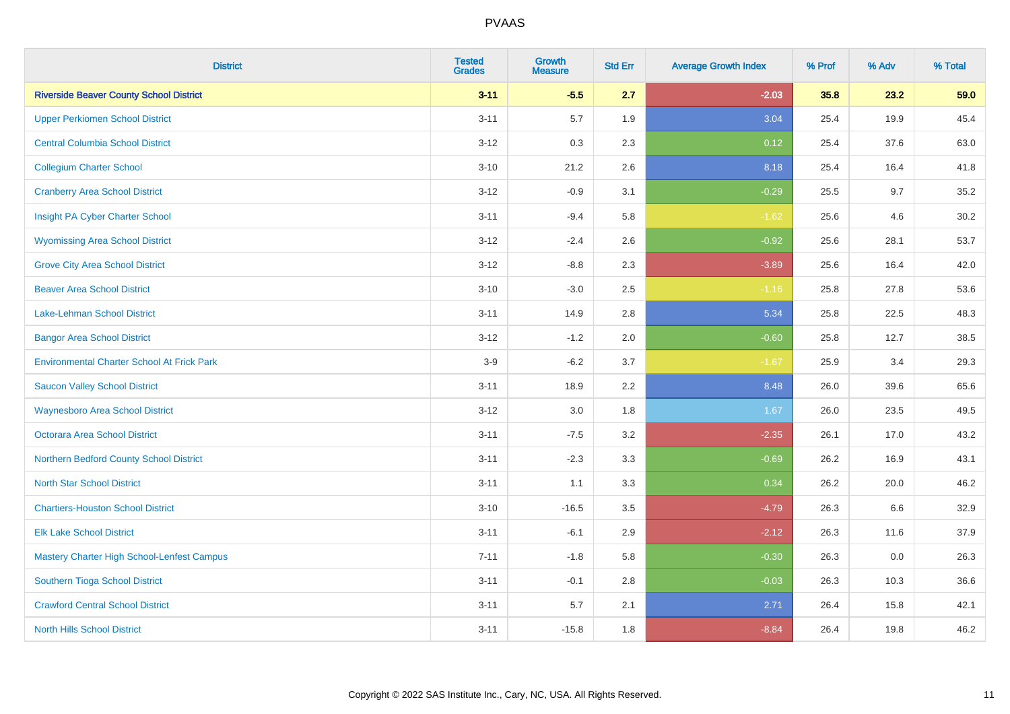| <b>District</b>                                   | <b>Tested</b><br><b>Grades</b> | <b>Growth</b><br><b>Measure</b> | <b>Std Err</b> | <b>Average Growth Index</b> | % Prof | % Adv | % Total |
|---------------------------------------------------|--------------------------------|---------------------------------|----------------|-----------------------------|--------|-------|---------|
| <b>Riverside Beaver County School District</b>    | $3 - 11$                       | $-5.5$                          | 2.7            | $-2.03$                     | 35.8   | 23.2  | 59.0    |
| <b>Upper Perkiomen School District</b>            | $3 - 11$                       | 5.7                             | 1.9            | 3.04                        | 25.4   | 19.9  | 45.4    |
| <b>Central Columbia School District</b>           | $3 - 12$                       | 0.3                             | 2.3            | 0.12                        | 25.4   | 37.6  | 63.0    |
| <b>Collegium Charter School</b>                   | $3 - 10$                       | 21.2                            | 2.6            | 8.18                        | 25.4   | 16.4  | 41.8    |
| <b>Cranberry Area School District</b>             | $3 - 12$                       | $-0.9$                          | 3.1            | $-0.29$                     | 25.5   | 9.7   | 35.2    |
| Insight PA Cyber Charter School                   | $3 - 11$                       | $-9.4$                          | 5.8            | $-1.62$                     | 25.6   | 4.6   | 30.2    |
| <b>Wyomissing Area School District</b>            | $3 - 12$                       | $-2.4$                          | 2.6            | $-0.92$                     | 25.6   | 28.1  | 53.7    |
| <b>Grove City Area School District</b>            | $3 - 12$                       | $-8.8$                          | 2.3            | $-3.89$                     | 25.6   | 16.4  | 42.0    |
| <b>Beaver Area School District</b>                | $3 - 10$                       | $-3.0$                          | 2.5            | $-1.16$                     | 25.8   | 27.8  | 53.6    |
| Lake-Lehman School District                       | $3 - 11$                       | 14.9                            | 2.8            | 5.34                        | 25.8   | 22.5  | 48.3    |
| <b>Bangor Area School District</b>                | $3 - 12$                       | $-1.2$                          | 2.0            | $-0.60$                     | 25.8   | 12.7  | 38.5    |
| <b>Environmental Charter School At Frick Park</b> | $3-9$                          | $-6.2$                          | 3.7            | $-1.67$                     | 25.9   | 3.4   | 29.3    |
| <b>Saucon Valley School District</b>              | $3 - 11$                       | 18.9                            | 2.2            | 8.48                        | 26.0   | 39.6  | 65.6    |
| <b>Waynesboro Area School District</b>            | $3 - 12$                       | 3.0                             | 1.8            | 1.67                        | 26.0   | 23.5  | 49.5    |
| <b>Octorara Area School District</b>              | $3 - 11$                       | $-7.5$                          | 3.2            | $-2.35$                     | 26.1   | 17.0  | 43.2    |
| Northern Bedford County School District           | $3 - 11$                       | $-2.3$                          | 3.3            | $-0.69$                     | 26.2   | 16.9  | 43.1    |
| <b>North Star School District</b>                 | $3 - 11$                       | 1.1                             | 3.3            | 0.34                        | 26.2   | 20.0  | 46.2    |
| <b>Chartiers-Houston School District</b>          | $3 - 10$                       | $-16.5$                         | 3.5            | $-4.79$                     | 26.3   | 6.6   | 32.9    |
| <b>Elk Lake School District</b>                   | $3 - 11$                       | $-6.1$                          | 2.9            | $-2.12$                     | 26.3   | 11.6  | 37.9    |
| Mastery Charter High School-Lenfest Campus        | $7 - 11$                       | $-1.8$                          | 5.8            | $-0.30$                     | 26.3   | 0.0   | 26.3    |
| Southern Tioga School District                    | $3 - 11$                       | $-0.1$                          | 2.8            | $-0.03$                     | 26.3   | 10.3  | 36.6    |
| <b>Crawford Central School District</b>           | $3 - 11$                       | 5.7                             | 2.1            | 2.71                        | 26.4   | 15.8  | 42.1    |
| <b>North Hills School District</b>                | $3 - 11$                       | $-15.8$                         | 1.8            | $-8.84$                     | 26.4   | 19.8  | 46.2    |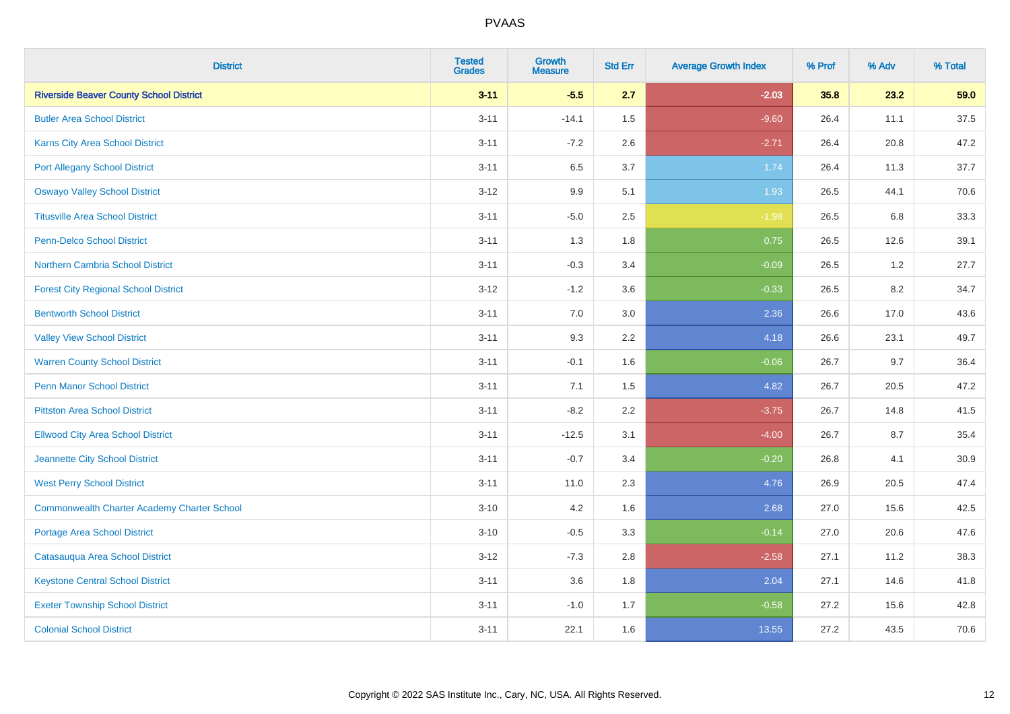| <b>District</b>                                    | <b>Tested</b><br><b>Grades</b> | <b>Growth</b><br><b>Measure</b> | <b>Std Err</b> | <b>Average Growth Index</b> | % Prof | % Adv   | % Total |
|----------------------------------------------------|--------------------------------|---------------------------------|----------------|-----------------------------|--------|---------|---------|
| <b>Riverside Beaver County School District</b>     | $3 - 11$                       | $-5.5$                          | 2.7            | $-2.03$                     | 35.8   | 23.2    | 59.0    |
| <b>Butler Area School District</b>                 | $3 - 11$                       | $-14.1$                         | 1.5            | $-9.60$                     | 26.4   | 11.1    | 37.5    |
| Karns City Area School District                    | $3 - 11$                       | $-7.2$                          | 2.6            | $-2.71$                     | 26.4   | 20.8    | 47.2    |
| <b>Port Allegany School District</b>               | $3 - 11$                       | 6.5                             | 3.7            | 1.74                        | 26.4   | 11.3    | 37.7    |
| <b>Oswayo Valley School District</b>               | $3 - 12$                       | 9.9                             | 5.1            | 1.93                        | 26.5   | 44.1    | 70.6    |
| <b>Titusville Area School District</b>             | $3 - 11$                       | $-5.0$                          | 2.5            | $-1.98$                     | 26.5   | $6.8\,$ | 33.3    |
| <b>Penn-Delco School District</b>                  | $3 - 11$                       | 1.3                             | 1.8            | 0.75                        | 26.5   | 12.6    | 39.1    |
| Northern Cambria School District                   | $3 - 11$                       | $-0.3$                          | 3.4            | $-0.09$                     | 26.5   | 1.2     | 27.7    |
| <b>Forest City Regional School District</b>        | $3 - 12$                       | $-1.2$                          | 3.6            | $-0.33$                     | 26.5   | 8.2     | 34.7    |
| <b>Bentworth School District</b>                   | $3 - 11$                       | 7.0                             | 3.0            | 2.36                        | 26.6   | 17.0    | 43.6    |
| <b>Valley View School District</b>                 | $3 - 11$                       | 9.3                             | 2.2            | 4.18                        | 26.6   | 23.1    | 49.7    |
| <b>Warren County School District</b>               | $3 - 11$                       | $-0.1$                          | 1.6            | $-0.06$                     | 26.7   | 9.7     | 36.4    |
| Penn Manor School District                         | $3 - 11$                       | 7.1                             | 1.5            | 4.82                        | 26.7   | 20.5    | 47.2    |
| <b>Pittston Area School District</b>               | $3 - 11$                       | $-8.2$                          | 2.2            | $-3.75$                     | 26.7   | 14.8    | 41.5    |
| <b>Ellwood City Area School District</b>           | $3 - 11$                       | $-12.5$                         | 3.1            | $-4.00$                     | 26.7   | 8.7     | 35.4    |
| Jeannette City School District                     | $3 - 11$                       | $-0.7$                          | 3.4            | $-0.20$                     | 26.8   | 4.1     | 30.9    |
| <b>West Perry School District</b>                  | $3 - 11$                       | 11.0                            | 2.3            | 4.76                        | 26.9   | 20.5    | 47.4    |
| <b>Commonwealth Charter Academy Charter School</b> | $3 - 10$                       | 4.2                             | 1.6            | 2.68                        | 27.0   | 15.6    | 42.5    |
| Portage Area School District                       | $3 - 10$                       | $-0.5$                          | 3.3            | $-0.14$                     | 27.0   | 20.6    | 47.6    |
| Catasauqua Area School District                    | $3 - 12$                       | $-7.3$                          | 2.8            | $-2.58$                     | 27.1   | 11.2    | 38.3    |
| <b>Keystone Central School District</b>            | $3 - 11$                       | 3.6                             | 1.8            | 2.04                        | 27.1   | 14.6    | 41.8    |
| <b>Exeter Township School District</b>             | $3 - 11$                       | $-1.0$                          | 1.7            | $-0.58$                     | 27.2   | 15.6    | 42.8    |
| <b>Colonial School District</b>                    | $3 - 11$                       | 22.1                            | 1.6            | 13.55                       | 27.2   | 43.5    | 70.6    |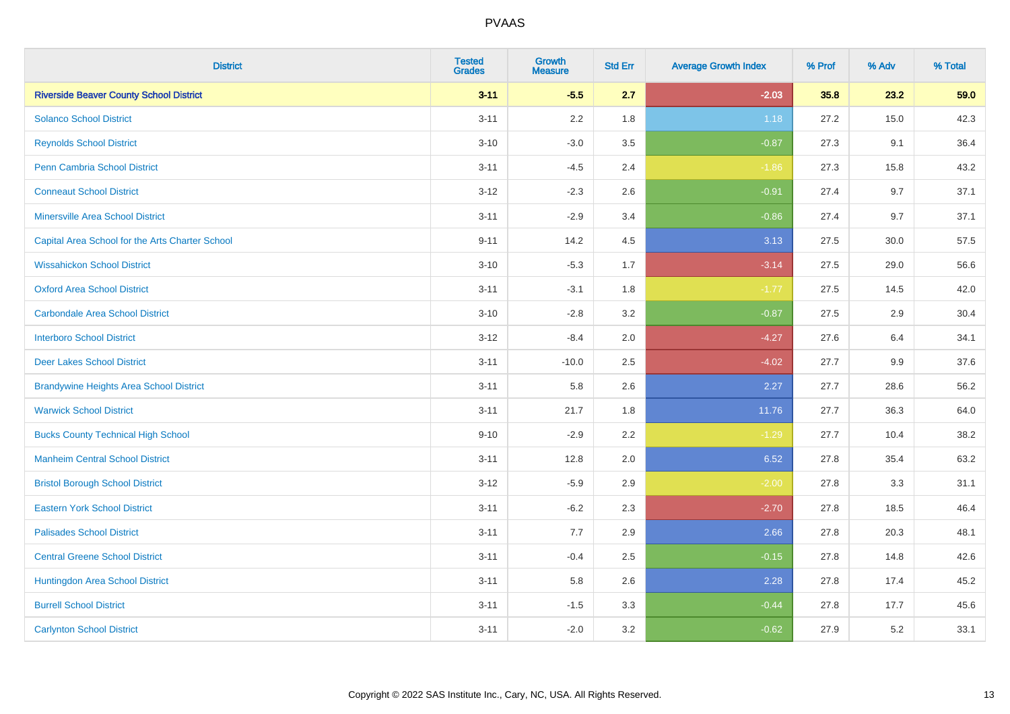| <b>District</b>                                 | <b>Tested</b><br><b>Grades</b> | <b>Growth</b><br><b>Measure</b> | <b>Std Err</b> | <b>Average Growth Index</b> | % Prof | % Adv | % Total |
|-------------------------------------------------|--------------------------------|---------------------------------|----------------|-----------------------------|--------|-------|---------|
| <b>Riverside Beaver County School District</b>  | $3 - 11$                       | $-5.5$                          | 2.7            | $-2.03$                     | 35.8   | 23.2  | 59.0    |
| <b>Solanco School District</b>                  | $3 - 11$                       | 2.2                             | 1.8            | 1.18                        | 27.2   | 15.0  | 42.3    |
| <b>Reynolds School District</b>                 | $3 - 10$                       | $-3.0$                          | 3.5            | $-0.87$                     | 27.3   | 9.1   | 36.4    |
| Penn Cambria School District                    | $3 - 11$                       | $-4.5$                          | 2.4            | $-1.86$                     | 27.3   | 15.8  | 43.2    |
| <b>Conneaut School District</b>                 | $3 - 12$                       | $-2.3$                          | 2.6            | $-0.91$                     | 27.4   | 9.7   | 37.1    |
| <b>Minersville Area School District</b>         | $3 - 11$                       | $-2.9$                          | 3.4            | $-0.86$                     | 27.4   | 9.7   | 37.1    |
| Capital Area School for the Arts Charter School | $9 - 11$                       | 14.2                            | 4.5            | 3.13                        | 27.5   | 30.0  | 57.5    |
| <b>Wissahickon School District</b>              | $3 - 10$                       | $-5.3$                          | 1.7            | $-3.14$                     | 27.5   | 29.0  | 56.6    |
| <b>Oxford Area School District</b>              | $3 - 11$                       | $-3.1$                          | 1.8            | $-1.77$                     | 27.5   | 14.5  | 42.0    |
| <b>Carbondale Area School District</b>          | $3 - 10$                       | $-2.8$                          | 3.2            | $-0.87$                     | 27.5   | 2.9   | 30.4    |
| <b>Interboro School District</b>                | $3 - 12$                       | $-8.4$                          | 2.0            | $-4.27$                     | 27.6   | 6.4   | 34.1    |
| <b>Deer Lakes School District</b>               | $3 - 11$                       | $-10.0$                         | 2.5            | $-4.02$                     | 27.7   | 9.9   | 37.6    |
| <b>Brandywine Heights Area School District</b>  | $3 - 11$                       | 5.8                             | 2.6            | 2.27                        | 27.7   | 28.6  | 56.2    |
| <b>Warwick School District</b>                  | $3 - 11$                       | 21.7                            | 1.8            | 11.76                       | 27.7   | 36.3  | 64.0    |
| <b>Bucks County Technical High School</b>       | $9 - 10$                       | $-2.9$                          | 2.2            | $-1.29$                     | 27.7   | 10.4  | 38.2    |
| <b>Manheim Central School District</b>          | $3 - 11$                       | 12.8                            | 2.0            | 6.52                        | 27.8   | 35.4  | 63.2    |
| <b>Bristol Borough School District</b>          | $3 - 12$                       | $-5.9$                          | 2.9            | $-2.00$                     | 27.8   | 3.3   | 31.1    |
| <b>Eastern York School District</b>             | $3 - 11$                       | $-6.2$                          | 2.3            | $-2.70$                     | 27.8   | 18.5  | 46.4    |
| <b>Palisades School District</b>                | $3 - 11$                       | 7.7                             | 2.9            | 2.66                        | 27.8   | 20.3  | 48.1    |
| <b>Central Greene School District</b>           | $3 - 11$                       | $-0.4$                          | 2.5            | $-0.15$                     | 27.8   | 14.8  | 42.6    |
| Huntingdon Area School District                 | $3 - 11$                       | 5.8                             | 2.6            | 2.28                        | 27.8   | 17.4  | 45.2    |
| <b>Burrell School District</b>                  | $3 - 11$                       | $-1.5$                          | 3.3            | $-0.44$                     | 27.8   | 17.7  | 45.6    |
| <b>Carlynton School District</b>                | $3 - 11$                       | $-2.0$                          | 3.2            | $-0.62$                     | 27.9   | 5.2   | 33.1    |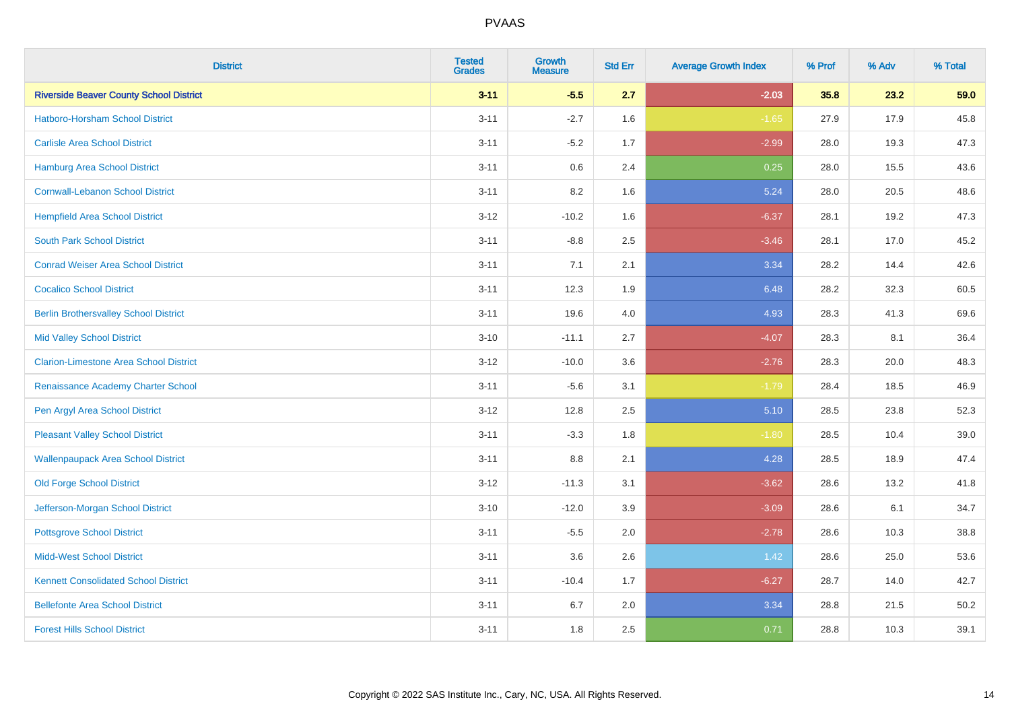| <b>District</b>                                | <b>Tested</b><br><b>Grades</b> | Growth<br><b>Measure</b> | <b>Std Err</b> | <b>Average Growth Index</b> | % Prof | % Adv | % Total |
|------------------------------------------------|--------------------------------|--------------------------|----------------|-----------------------------|--------|-------|---------|
| <b>Riverside Beaver County School District</b> | $3 - 11$                       | $-5.5$                   | 2.7            | $-2.03$                     | 35.8   | 23.2  | 59.0    |
| Hatboro-Horsham School District                | $3 - 11$                       | $-2.7$                   | 1.6            | $-1.65$                     | 27.9   | 17.9  | 45.8    |
| <b>Carlisle Area School District</b>           | $3 - 11$                       | $-5.2$                   | 1.7            | $-2.99$                     | 28.0   | 19.3  | 47.3    |
| Hamburg Area School District                   | $3 - 11$                       | 0.6                      | 2.4            | 0.25                        | 28.0   | 15.5  | 43.6    |
| <b>Cornwall-Lebanon School District</b>        | $3 - 11$                       | 8.2                      | 1.6            | 5.24                        | 28.0   | 20.5  | 48.6    |
| <b>Hempfield Area School District</b>          | $3 - 12$                       | $-10.2$                  | 1.6            | $-6.37$                     | 28.1   | 19.2  | 47.3    |
| <b>South Park School District</b>              | $3 - 11$                       | $-8.8$                   | 2.5            | $-3.46$                     | 28.1   | 17.0  | 45.2    |
| <b>Conrad Weiser Area School District</b>      | $3 - 11$                       | 7.1                      | 2.1            | 3.34                        | 28.2   | 14.4  | 42.6    |
| <b>Cocalico School District</b>                | $3 - 11$                       | 12.3                     | 1.9            | 6.48                        | 28.2   | 32.3  | 60.5    |
| <b>Berlin Brothersvalley School District</b>   | $3 - 11$                       | 19.6                     | 4.0            | 4.93                        | 28.3   | 41.3  | 69.6    |
| <b>Mid Valley School District</b>              | $3 - 10$                       | $-11.1$                  | 2.7            | $-4.07$                     | 28.3   | 8.1   | 36.4    |
| <b>Clarion-Limestone Area School District</b>  | $3 - 12$                       | $-10.0$                  | 3.6            | $-2.76$                     | 28.3   | 20.0  | 48.3    |
| Renaissance Academy Charter School             | $3 - 11$                       | $-5.6$                   | 3.1            | $-1.79$                     | 28.4   | 18.5  | 46.9    |
| Pen Argyl Area School District                 | $3 - 12$                       | 12.8                     | 2.5            | 5.10                        | 28.5   | 23.8  | 52.3    |
| <b>Pleasant Valley School District</b>         | $3 - 11$                       | $-3.3$                   | 1.8            | $-1.80$                     | 28.5   | 10.4  | 39.0    |
| <b>Wallenpaupack Area School District</b>      | $3 - 11$                       | 8.8                      | 2.1            | 4.28                        | 28.5   | 18.9  | 47.4    |
| <b>Old Forge School District</b>               | $3 - 12$                       | $-11.3$                  | 3.1            | $-3.62$                     | 28.6   | 13.2  | 41.8    |
| Jefferson-Morgan School District               | $3 - 10$                       | $-12.0$                  | 3.9            | $-3.09$                     | 28.6   | 6.1   | 34.7    |
| <b>Pottsgrove School District</b>              | $3 - 11$                       | $-5.5$                   | 2.0            | $-2.78$                     | 28.6   | 10.3  | 38.8    |
| <b>Midd-West School District</b>               | $3 - 11$                       | 3.6                      | 2.6            | 1.42                        | 28.6   | 25.0  | 53.6    |
| <b>Kennett Consolidated School District</b>    | $3 - 11$                       | $-10.4$                  | 1.7            | $-6.27$                     | 28.7   | 14.0  | 42.7    |
| <b>Bellefonte Area School District</b>         | $3 - 11$                       | 6.7                      | 2.0            | 3.34                        | 28.8   | 21.5  | 50.2    |
| <b>Forest Hills School District</b>            | $3 - 11$                       | 1.8                      | 2.5            | 0.71                        | 28.8   | 10.3  | 39.1    |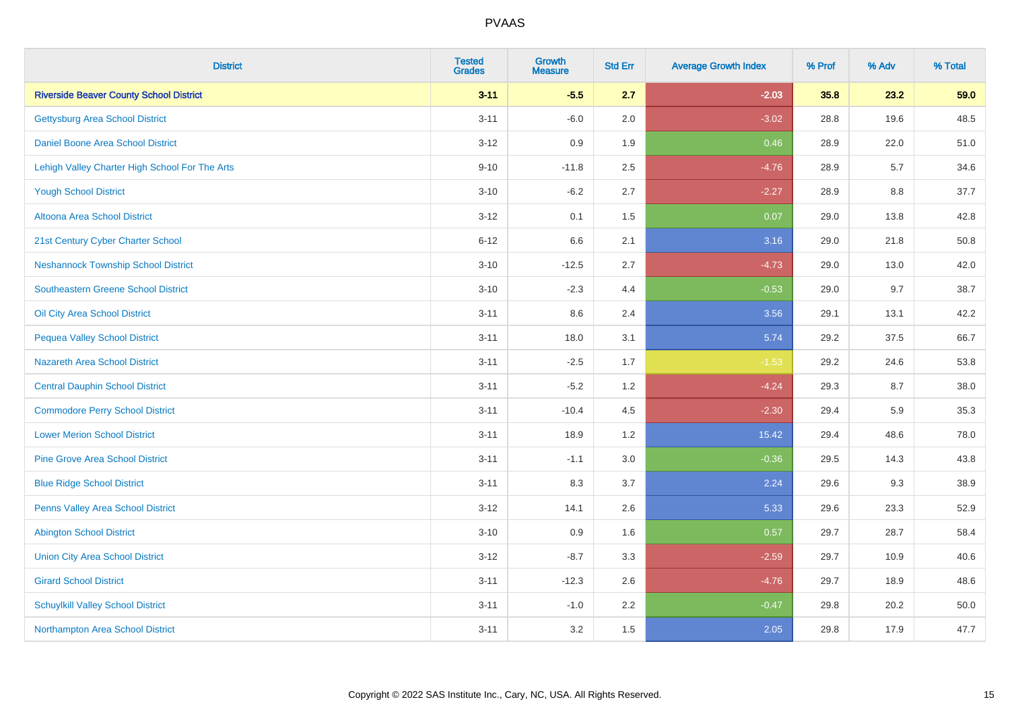| <b>District</b>                                | <b>Tested</b><br><b>Grades</b> | <b>Growth</b><br><b>Measure</b> | <b>Std Err</b> | <b>Average Growth Index</b> | % Prof | % Adv | % Total |
|------------------------------------------------|--------------------------------|---------------------------------|----------------|-----------------------------|--------|-------|---------|
| <b>Riverside Beaver County School District</b> | $3 - 11$                       | $-5.5$                          | 2.7            | $-2.03$                     | 35.8   | 23.2  | 59.0    |
| <b>Gettysburg Area School District</b>         | $3 - 11$                       | $-6.0$                          | 2.0            | $-3.02$                     | 28.8   | 19.6  | 48.5    |
| Daniel Boone Area School District              | $3 - 12$                       | 0.9                             | 1.9            | 0.46                        | 28.9   | 22.0  | 51.0    |
| Lehigh Valley Charter High School For The Arts | $9 - 10$                       | $-11.8$                         | 2.5            | $-4.76$                     | 28.9   | 5.7   | 34.6    |
| <b>Yough School District</b>                   | $3 - 10$                       | $-6.2$                          | 2.7            | $-2.27$                     | 28.9   | 8.8   | 37.7    |
| Altoona Area School District                   | $3 - 12$                       | 0.1                             | 1.5            | 0.07                        | 29.0   | 13.8  | 42.8    |
| 21st Century Cyber Charter School              | $6 - 12$                       | 6.6                             | 2.1            | 3.16                        | 29.0   | 21.8  | 50.8    |
| <b>Neshannock Township School District</b>     | $3 - 10$                       | $-12.5$                         | 2.7            | $-4.73$                     | 29.0   | 13.0  | 42.0    |
| <b>Southeastern Greene School District</b>     | $3 - 10$                       | $-2.3$                          | 4.4            | $-0.53$                     | 29.0   | 9.7   | 38.7    |
| Oil City Area School District                  | $3 - 11$                       | 8.6                             | 2.4            | 3.56                        | 29.1   | 13.1  | 42.2    |
| <b>Pequea Valley School District</b>           | $3 - 11$                       | 18.0                            | 3.1            | 5.74                        | 29.2   | 37.5  | 66.7    |
| <b>Nazareth Area School District</b>           | $3 - 11$                       | $-2.5$                          | 1.7            | $-1.53$                     | 29.2   | 24.6  | 53.8    |
| <b>Central Dauphin School District</b>         | $3 - 11$                       | $-5.2$                          | 1.2            | $-4.24$                     | 29.3   | 8.7   | 38.0    |
| <b>Commodore Perry School District</b>         | $3 - 11$                       | $-10.4$                         | 4.5            | $-2.30$                     | 29.4   | 5.9   | 35.3    |
| <b>Lower Merion School District</b>            | $3 - 11$                       | 18.9                            | 1.2            | 15.42                       | 29.4   | 48.6  | 78.0    |
| <b>Pine Grove Area School District</b>         | $3 - 11$                       | $-1.1$                          | 3.0            | $-0.36$                     | 29.5   | 14.3  | 43.8    |
| <b>Blue Ridge School District</b>              | $3 - 11$                       | 8.3                             | 3.7            | 2.24                        | 29.6   | 9.3   | 38.9    |
| Penns Valley Area School District              | $3 - 12$                       | 14.1                            | 2.6            | 5.33                        | 29.6   | 23.3  | 52.9    |
| <b>Abington School District</b>                | $3 - 10$                       | 0.9                             | 1.6            | 0.57                        | 29.7   | 28.7  | 58.4    |
| <b>Union City Area School District</b>         | $3 - 12$                       | $-8.7$                          | 3.3            | $-2.59$                     | 29.7   | 10.9  | 40.6    |
| <b>Girard School District</b>                  | $3 - 11$                       | $-12.3$                         | 2.6            | $-4.76$                     | 29.7   | 18.9  | 48.6    |
| <b>Schuylkill Valley School District</b>       | $3 - 11$                       | $-1.0$                          | 2.2            | $-0.47$                     | 29.8   | 20.2  | 50.0    |
| Northampton Area School District               | $3 - 11$                       | 3.2                             | 1.5            | 2.05                        | 29.8   | 17.9  | 47.7    |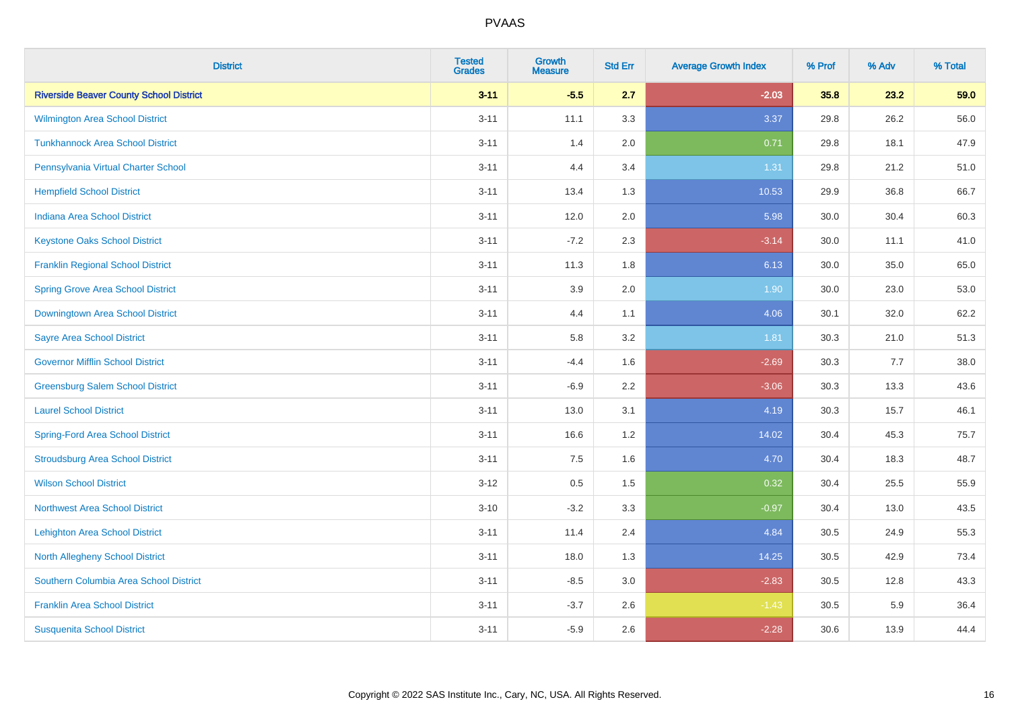| <b>District</b>                                | <b>Tested</b><br><b>Grades</b> | <b>Growth</b><br><b>Measure</b> | <b>Std Err</b> | <b>Average Growth Index</b> | % Prof | % Adv | % Total |
|------------------------------------------------|--------------------------------|---------------------------------|----------------|-----------------------------|--------|-------|---------|
| <b>Riverside Beaver County School District</b> | $3 - 11$                       | $-5.5$                          | 2.7            | $-2.03$                     | 35.8   | 23.2  | 59.0    |
| <b>Wilmington Area School District</b>         | $3 - 11$                       | 11.1                            | 3.3            | 3.37                        | 29.8   | 26.2  | 56.0    |
| <b>Tunkhannock Area School District</b>        | $3 - 11$                       | 1.4                             | 2.0            | 0.71                        | 29.8   | 18.1  | 47.9    |
| Pennsylvania Virtual Charter School            | $3 - 11$                       | 4.4                             | 3.4            | 1.31                        | 29.8   | 21.2  | 51.0    |
| <b>Hempfield School District</b>               | $3 - 11$                       | 13.4                            | 1.3            | 10.53                       | 29.9   | 36.8  | 66.7    |
| <b>Indiana Area School District</b>            | $3 - 11$                       | 12.0                            | 2.0            | 5.98                        | 30.0   | 30.4  | 60.3    |
| <b>Keystone Oaks School District</b>           | $3 - 11$                       | $-7.2$                          | 2.3            | $-3.14$                     | 30.0   | 11.1  | 41.0    |
| <b>Franklin Regional School District</b>       | $3 - 11$                       | 11.3                            | 1.8            | 6.13                        | 30.0   | 35.0  | 65.0    |
| <b>Spring Grove Area School District</b>       | $3 - 11$                       | 3.9                             | 2.0            | 1.90                        | 30.0   | 23.0  | 53.0    |
| <b>Downingtown Area School District</b>        | $3 - 11$                       | 4.4                             | 1.1            | 4.06                        | 30.1   | 32.0  | 62.2    |
| <b>Sayre Area School District</b>              | $3 - 11$                       | 5.8                             | 3.2            | 1.81                        | 30.3   | 21.0  | 51.3    |
| <b>Governor Mifflin School District</b>        | $3 - 11$                       | $-4.4$                          | 1.6            | $-2.69$                     | 30.3   | 7.7   | 38.0    |
| <b>Greensburg Salem School District</b>        | $3 - 11$                       | $-6.9$                          | 2.2            | $-3.06$                     | 30.3   | 13.3  | 43.6    |
| <b>Laurel School District</b>                  | $3 - 11$                       | 13.0                            | 3.1            | 4.19                        | 30.3   | 15.7  | 46.1    |
| <b>Spring-Ford Area School District</b>        | $3 - 11$                       | 16.6                            | 1.2            | 14.02                       | 30.4   | 45.3  | 75.7    |
| <b>Stroudsburg Area School District</b>        | $3 - 11$                       | 7.5                             | 1.6            | 4.70                        | 30.4   | 18.3  | 48.7    |
| <b>Wilson School District</b>                  | $3 - 12$                       | $0.5\,$                         | $1.5$          | 0.32                        | 30.4   | 25.5  | 55.9    |
| <b>Northwest Area School District</b>          | $3 - 10$                       | $-3.2$                          | 3.3            | $-0.97$                     | 30.4   | 13.0  | 43.5    |
| <b>Lehighton Area School District</b>          | $3 - 11$                       | 11.4                            | 2.4            | 4.84                        | 30.5   | 24.9  | 55.3    |
| <b>North Allegheny School District</b>         | $3 - 11$                       | 18.0                            | 1.3            | 14.25                       | 30.5   | 42.9  | 73.4    |
| Southern Columbia Area School District         | $3 - 11$                       | $-8.5$                          | 3.0            | $-2.83$                     | 30.5   | 12.8  | 43.3    |
| <b>Franklin Area School District</b>           | $3 - 11$                       | $-3.7$                          | 2.6            | $-1.43$                     | 30.5   | 5.9   | 36.4    |
| <b>Susquenita School District</b>              | $3 - 11$                       | $-5.9$                          | 2.6            | $-2.28$                     | 30.6   | 13.9  | 44.4    |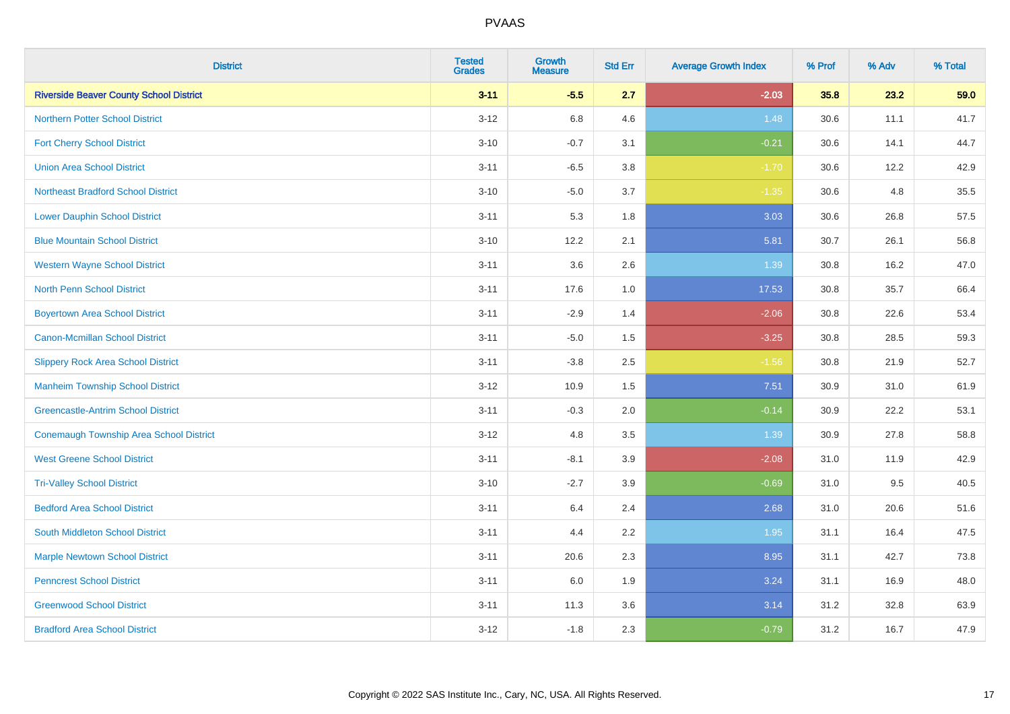| <b>District</b>                                | <b>Tested</b><br><b>Grades</b> | <b>Growth</b><br><b>Measure</b> | <b>Std Err</b> | <b>Average Growth Index</b> | % Prof | % Adv | % Total |
|------------------------------------------------|--------------------------------|---------------------------------|----------------|-----------------------------|--------|-------|---------|
| <b>Riverside Beaver County School District</b> | $3 - 11$                       | $-5.5$                          | 2.7            | $-2.03$                     | 35.8   | 23.2  | 59.0    |
| <b>Northern Potter School District</b>         | $3 - 12$                       | $6.8\,$                         | 4.6            | 1.48                        | 30.6   | 11.1  | 41.7    |
| <b>Fort Cherry School District</b>             | $3 - 10$                       | $-0.7$                          | 3.1            | $-0.21$                     | 30.6   | 14.1  | 44.7    |
| <b>Union Area School District</b>              | $3 - 11$                       | $-6.5$                          | 3.8            | $-1.70$                     | 30.6   | 12.2  | 42.9    |
| <b>Northeast Bradford School District</b>      | $3 - 10$                       | $-5.0$                          | 3.7            | $-1.35$                     | 30.6   | 4.8   | 35.5    |
| <b>Lower Dauphin School District</b>           | $3 - 11$                       | 5.3                             | 1.8            | 3.03                        | 30.6   | 26.8  | 57.5    |
| <b>Blue Mountain School District</b>           | $3 - 10$                       | 12.2                            | 2.1            | 5.81                        | 30.7   | 26.1  | 56.8    |
| <b>Western Wayne School District</b>           | $3 - 11$                       | 3.6                             | 2.6            | 1.39                        | 30.8   | 16.2  | 47.0    |
| <b>North Penn School District</b>              | $3 - 11$                       | 17.6                            | 1.0            | 17.53                       | 30.8   | 35.7  | 66.4    |
| <b>Boyertown Area School District</b>          | $3 - 11$                       | $-2.9$                          | 1.4            | $-2.06$                     | 30.8   | 22.6  | 53.4    |
| Canon-Mcmillan School District                 | $3 - 11$                       | $-5.0$                          | 1.5            | $-3.25$                     | 30.8   | 28.5  | 59.3    |
| <b>Slippery Rock Area School District</b>      | $3 - 11$                       | $-3.8$                          | 2.5            | $-1.56$                     | 30.8   | 21.9  | 52.7    |
| <b>Manheim Township School District</b>        | $3 - 12$                       | 10.9                            | 1.5            | 7.51                        | 30.9   | 31.0  | 61.9    |
| <b>Greencastle-Antrim School District</b>      | $3 - 11$                       | $-0.3$                          | 2.0            | $-0.14$                     | 30.9   | 22.2  | 53.1    |
| <b>Conemaugh Township Area School District</b> | $3 - 12$                       | 4.8                             | 3.5            | 1.39                        | 30.9   | 27.8  | 58.8    |
| <b>West Greene School District</b>             | $3 - 11$                       | $-8.1$                          | 3.9            | $-2.08$                     | 31.0   | 11.9  | 42.9    |
| <b>Tri-Valley School District</b>              | $3 - 10$                       | $-2.7$                          | 3.9            | $-0.69$                     | 31.0   | 9.5   | 40.5    |
| <b>Bedford Area School District</b>            | $3 - 11$                       | 6.4                             | 2.4            | 2.68                        | 31.0   | 20.6  | 51.6    |
| South Middleton School District                | $3 - 11$                       | 4.4                             | 2.2            | 1.95                        | 31.1   | 16.4  | 47.5    |
| <b>Marple Newtown School District</b>          | $3 - 11$                       | 20.6                            | 2.3            | 8.95                        | 31.1   | 42.7  | 73.8    |
| <b>Penncrest School District</b>               | $3 - 11$                       | 6.0                             | 1.9            | 3.24                        | 31.1   | 16.9  | 48.0    |
| <b>Greenwood School District</b>               | $3 - 11$                       | 11.3                            | 3.6            | 3.14                        | 31.2   | 32.8  | 63.9    |
| <b>Bradford Area School District</b>           | $3 - 12$                       | $-1.8$                          | 2.3            | $-0.79$                     | 31.2   | 16.7  | 47.9    |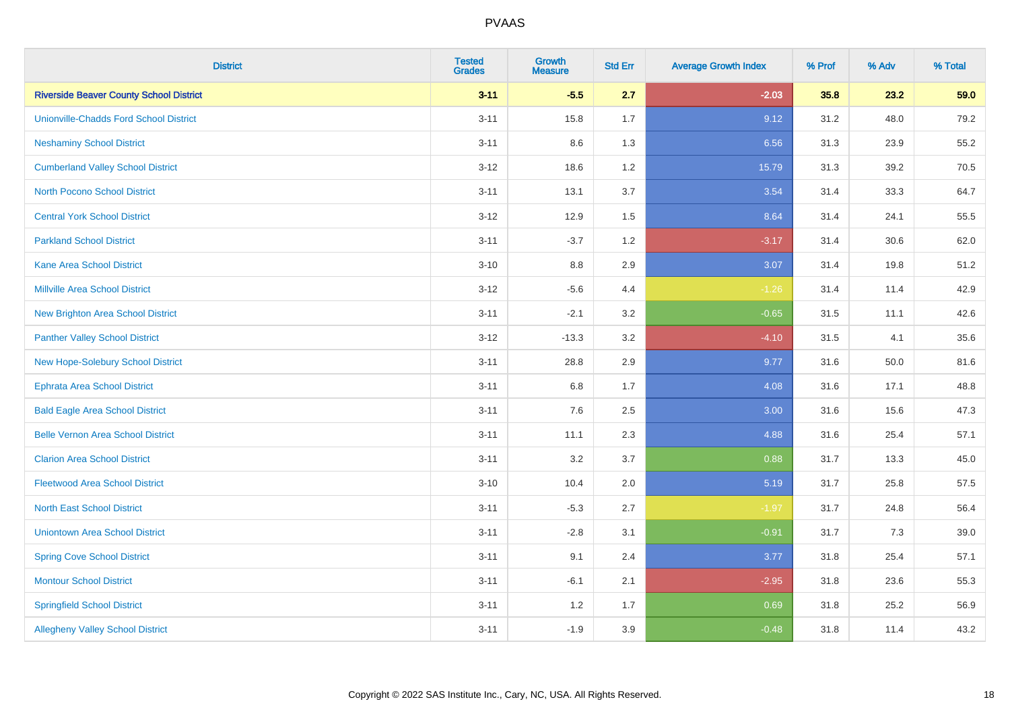| <b>District</b>                                | <b>Tested</b><br><b>Grades</b> | <b>Growth</b><br><b>Measure</b> | <b>Std Err</b> | <b>Average Growth Index</b> | % Prof | % Adv | % Total |
|------------------------------------------------|--------------------------------|---------------------------------|----------------|-----------------------------|--------|-------|---------|
| <b>Riverside Beaver County School District</b> | $3 - 11$                       | $-5.5$                          | 2.7            | $-2.03$                     | 35.8   | 23.2  | 59.0    |
| <b>Unionville-Chadds Ford School District</b>  | $3 - 11$                       | 15.8                            | 1.7            | 9.12                        | 31.2   | 48.0  | 79.2    |
| <b>Neshaminy School District</b>               | $3 - 11$                       | 8.6                             | 1.3            | 6.56                        | 31.3   | 23.9  | 55.2    |
| <b>Cumberland Valley School District</b>       | $3 - 12$                       | 18.6                            | 1.2            | 15.79                       | 31.3   | 39.2  | 70.5    |
| <b>North Pocono School District</b>            | $3 - 11$                       | 13.1                            | 3.7            | 3.54                        | 31.4   | 33.3  | 64.7    |
| <b>Central York School District</b>            | $3 - 12$                       | 12.9                            | 1.5            | 8.64                        | 31.4   | 24.1  | 55.5    |
| <b>Parkland School District</b>                | $3 - 11$                       | $-3.7$                          | 1.2            | $-3.17$                     | 31.4   | 30.6  | 62.0    |
| <b>Kane Area School District</b>               | $3 - 10$                       | $8.8\,$                         | 2.9            | 3.07                        | 31.4   | 19.8  | 51.2    |
| <b>Millville Area School District</b>          | $3 - 12$                       | $-5.6$                          | 4.4            | $-1.26$                     | 31.4   | 11.4  | 42.9    |
| <b>New Brighton Area School District</b>       | $3 - 11$                       | $-2.1$                          | 3.2            | $-0.65$                     | 31.5   | 11.1  | 42.6    |
| <b>Panther Valley School District</b>          | $3 - 12$                       | $-13.3$                         | 3.2            | $-4.10$                     | 31.5   | 4.1   | 35.6    |
| New Hope-Solebury School District              | $3 - 11$                       | 28.8                            | 2.9            | 9.77                        | 31.6   | 50.0  | 81.6    |
| <b>Ephrata Area School District</b>            | $3 - 11$                       | $6.8\,$                         | 1.7            | 4.08                        | 31.6   | 17.1  | 48.8    |
| <b>Bald Eagle Area School District</b>         | $3 - 11$                       | 7.6                             | 2.5            | 3.00                        | 31.6   | 15.6  | 47.3    |
| <b>Belle Vernon Area School District</b>       | $3 - 11$                       | 11.1                            | 2.3            | 4.88                        | 31.6   | 25.4  | 57.1    |
| <b>Clarion Area School District</b>            | $3 - 11$                       | 3.2                             | 3.7            | 0.88                        | 31.7   | 13.3  | 45.0    |
| <b>Fleetwood Area School District</b>          | $3 - 10$                       | 10.4                            | 2.0            | 5.19                        | 31.7   | 25.8  | 57.5    |
| <b>North East School District</b>              | $3 - 11$                       | $-5.3$                          | 2.7            | $-1.97$                     | 31.7   | 24.8  | 56.4    |
| <b>Uniontown Area School District</b>          | $3 - 11$                       | $-2.8$                          | 3.1            | $-0.91$                     | 31.7   | 7.3   | 39.0    |
| <b>Spring Cove School District</b>             | $3 - 11$                       | 9.1                             | 2.4            | 3.77                        | 31.8   | 25.4  | 57.1    |
| <b>Montour School District</b>                 | $3 - 11$                       | $-6.1$                          | 2.1            | $-2.95$                     | 31.8   | 23.6  | 55.3    |
| <b>Springfield School District</b>             | $3 - 11$                       | 1.2                             | 1.7            | 0.69                        | 31.8   | 25.2  | 56.9    |
| <b>Allegheny Valley School District</b>        | $3 - 11$                       | $-1.9$                          | 3.9            | $-0.48$                     | 31.8   | 11.4  | 43.2    |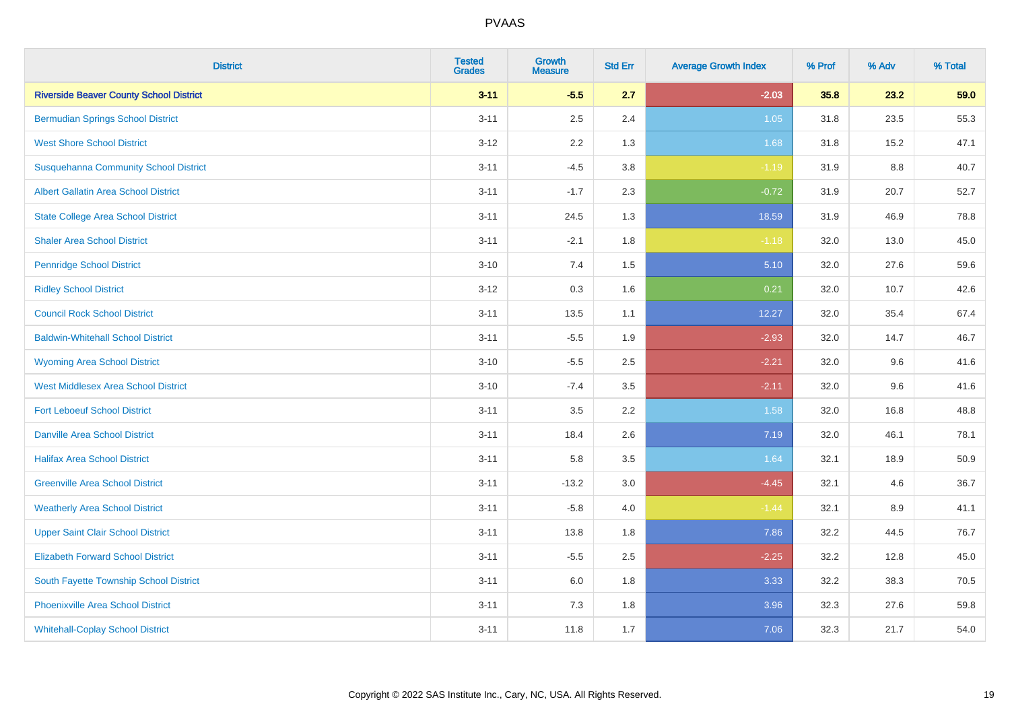| <b>District</b>                                | <b>Tested</b><br><b>Grades</b> | <b>Growth</b><br><b>Measure</b> | <b>Std Err</b> | <b>Average Growth Index</b> | % Prof | % Adv | % Total |
|------------------------------------------------|--------------------------------|---------------------------------|----------------|-----------------------------|--------|-------|---------|
| <b>Riverside Beaver County School District</b> | $3 - 11$                       | $-5.5$                          | 2.7            | $-2.03$                     | 35.8   | 23.2  | 59.0    |
| <b>Bermudian Springs School District</b>       | $3 - 11$                       | 2.5                             | 2.4            | 1.05                        | 31.8   | 23.5  | 55.3    |
| <b>West Shore School District</b>              | $3 - 12$                       | 2.2                             | 1.3            | 1.68                        | 31.8   | 15.2  | 47.1    |
| <b>Susquehanna Community School District</b>   | $3 - 11$                       | $-4.5$                          | 3.8            | $-1.19$                     | 31.9   | 8.8   | 40.7    |
| <b>Albert Gallatin Area School District</b>    | $3 - 11$                       | $-1.7$                          | 2.3            | $-0.72$                     | 31.9   | 20.7  | 52.7    |
| <b>State College Area School District</b>      | $3 - 11$                       | 24.5                            | 1.3            | 18.59                       | 31.9   | 46.9  | 78.8    |
| <b>Shaler Area School District</b>             | $3 - 11$                       | $-2.1$                          | 1.8            | $-1.18$                     | 32.0   | 13.0  | 45.0    |
| <b>Pennridge School District</b>               | $3 - 10$                       | 7.4                             | 1.5            | 5.10                        | 32.0   | 27.6  | 59.6    |
| <b>Ridley School District</b>                  | $3 - 12$                       | 0.3                             | 1.6            | 0.21                        | 32.0   | 10.7  | 42.6    |
| <b>Council Rock School District</b>            | $3 - 11$                       | 13.5                            | 1.1            | 12.27                       | 32.0   | 35.4  | 67.4    |
| <b>Baldwin-Whitehall School District</b>       | $3 - 11$                       | $-5.5$                          | 1.9            | $-2.93$                     | 32.0   | 14.7  | 46.7    |
| <b>Wyoming Area School District</b>            | $3 - 10$                       | $-5.5$                          | 2.5            | $-2.21$                     | 32.0   | 9.6   | 41.6    |
| <b>West Middlesex Area School District</b>     | $3 - 10$                       | $-7.4$                          | 3.5            | $-2.11$                     | 32.0   | 9.6   | 41.6    |
| <b>Fort Leboeuf School District</b>            | $3 - 11$                       | 3.5                             | 2.2            | 1.58                        | 32.0   | 16.8  | 48.8    |
| <b>Danville Area School District</b>           | $3 - 11$                       | 18.4                            | 2.6            | 7.19                        | 32.0   | 46.1  | 78.1    |
| <b>Halifax Area School District</b>            | $3 - 11$                       | 5.8                             | 3.5            | 1.64                        | 32.1   | 18.9  | 50.9    |
| <b>Greenville Area School District</b>         | $3 - 11$                       | $-13.2$                         | 3.0            | $-4.45$                     | 32.1   | 4.6   | 36.7    |
| <b>Weatherly Area School District</b>          | $3 - 11$                       | $-5.8$                          | 4.0            | $-1.44$                     | 32.1   | 8.9   | 41.1    |
| <b>Upper Saint Clair School District</b>       | $3 - 11$                       | 13.8                            | 1.8            | 7.86                        | 32.2   | 44.5  | 76.7    |
| <b>Elizabeth Forward School District</b>       | $3 - 11$                       | $-5.5$                          | 2.5            | $-2.25$                     | 32.2   | 12.8  | 45.0    |
| South Fayette Township School District         | $3 - 11$                       | 6.0                             | 1.8            | 3.33                        | 32.2   | 38.3  | 70.5    |
| <b>Phoenixville Area School District</b>       | $3 - 11$                       | 7.3                             | 1.8            | 3.96                        | 32.3   | 27.6  | 59.8    |
| <b>Whitehall-Coplay School District</b>        | $3 - 11$                       | 11.8                            | 1.7            | 7.06                        | 32.3   | 21.7  | 54.0    |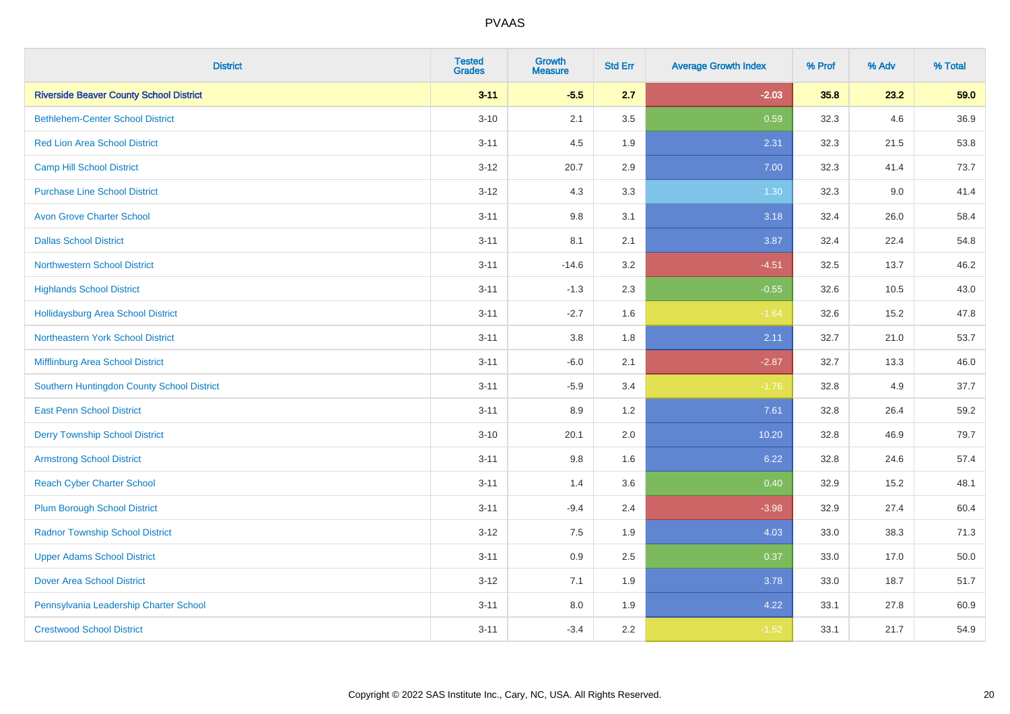| <b>District</b>                                | <b>Tested</b><br><b>Grades</b> | <b>Growth</b><br><b>Measure</b> | <b>Std Err</b> | <b>Average Growth Index</b> | % Prof | % Adv | % Total |
|------------------------------------------------|--------------------------------|---------------------------------|----------------|-----------------------------|--------|-------|---------|
| <b>Riverside Beaver County School District</b> | $3 - 11$                       | $-5.5$                          | 2.7            | $-2.03$                     | 35.8   | 23.2  | 59.0    |
| <b>Bethlehem-Center School District</b>        | $3 - 10$                       | 2.1                             | 3.5            | 0.59                        | 32.3   | 4.6   | 36.9    |
| <b>Red Lion Area School District</b>           | $3 - 11$                       | 4.5                             | 1.9            | 2.31                        | 32.3   | 21.5  | 53.8    |
| <b>Camp Hill School District</b>               | $3 - 12$                       | 20.7                            | 2.9            | 7.00                        | 32.3   | 41.4  | 73.7    |
| <b>Purchase Line School District</b>           | $3 - 12$                       | 4.3                             | 3.3            | 1.30                        | 32.3   | 9.0   | 41.4    |
| <b>Avon Grove Charter School</b>               | $3 - 11$                       | $9.8\,$                         | 3.1            | 3.18                        | 32.4   | 26.0  | 58.4    |
| <b>Dallas School District</b>                  | $3 - 11$                       | 8.1                             | 2.1            | 3.87                        | 32.4   | 22.4  | 54.8    |
| <b>Northwestern School District</b>            | $3 - 11$                       | $-14.6$                         | 3.2            | $-4.51$                     | 32.5   | 13.7  | 46.2    |
| <b>Highlands School District</b>               | $3 - 11$                       | $-1.3$                          | 2.3            | $-0.55$                     | 32.6   | 10.5  | 43.0    |
| <b>Hollidaysburg Area School District</b>      | $3 - 11$                       | $-2.7$                          | 1.6            | $-1.64$                     | 32.6   | 15.2  | 47.8    |
| Northeastern York School District              | $3 - 11$                       | 3.8                             | 1.8            | 2.11                        | 32.7   | 21.0  | 53.7    |
| Mifflinburg Area School District               | $3 - 11$                       | $-6.0$                          | 2.1            | $-2.87$                     | 32.7   | 13.3  | 46.0    |
| Southern Huntingdon County School District     | $3 - 11$                       | $-5.9$                          | 3.4            | $-1.76$                     | 32.8   | 4.9   | 37.7    |
| <b>East Penn School District</b>               | $3 - 11$                       | 8.9                             | 1.2            | 7.61                        | 32.8   | 26.4  | 59.2    |
| <b>Derry Township School District</b>          | $3 - 10$                       | 20.1                            | 2.0            | 10.20                       | 32.8   | 46.9  | 79.7    |
| <b>Armstrong School District</b>               | $3 - 11$                       | 9.8                             | 1.6            | 6.22                        | 32.8   | 24.6  | 57.4    |
| <b>Reach Cyber Charter School</b>              | $3 - 11$                       | 1.4                             | 3.6            | 0.40                        | 32.9   | 15.2  | 48.1    |
| <b>Plum Borough School District</b>            | $3 - 11$                       | $-9.4$                          | 2.4            | $-3.98$                     | 32.9   | 27.4  | 60.4    |
| <b>Radnor Township School District</b>         | $3 - 12$                       | $7.5\,$                         | 1.9            | 4.03                        | 33.0   | 38.3  | 71.3    |
| <b>Upper Adams School District</b>             | $3 - 11$                       | 0.9                             | 2.5            | 0.37                        | 33.0   | 17.0  | 50.0    |
| <b>Dover Area School District</b>              | $3 - 12$                       | 7.1                             | 1.9            | 3.78                        | 33.0   | 18.7  | 51.7    |
| Pennsylvania Leadership Charter School         | $3 - 11$                       | $8.0\,$                         | 1.9            | 4.22                        | 33.1   | 27.8  | 60.9    |
| <b>Crestwood School District</b>               | $3 - 11$                       | $-3.4$                          | 2.2            | $-1.52$                     | 33.1   | 21.7  | 54.9    |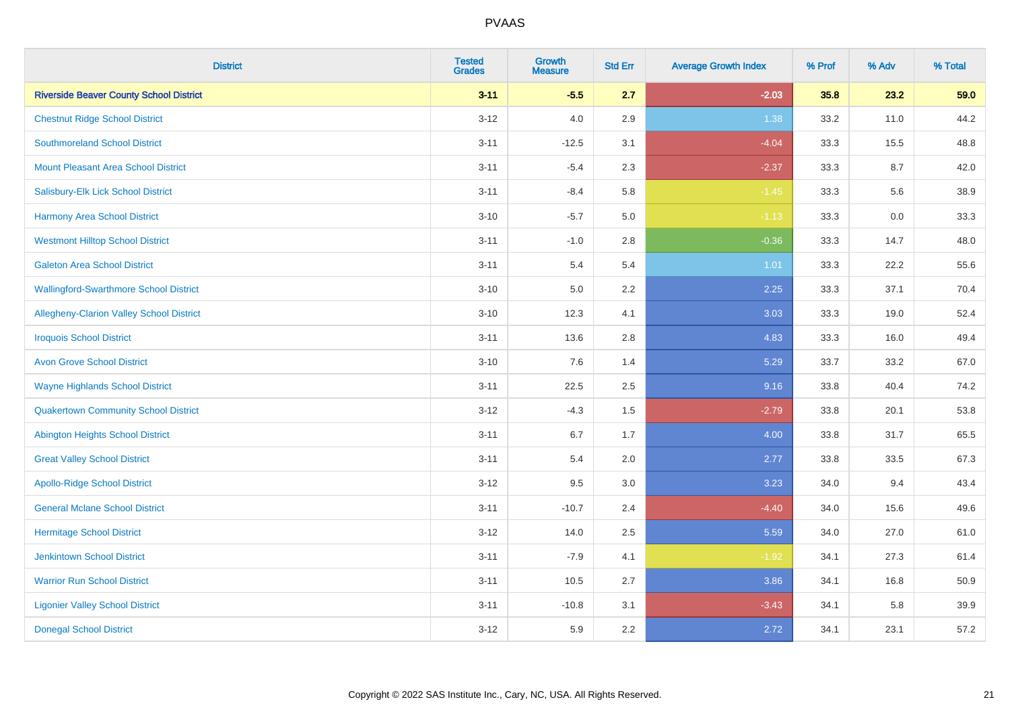| <b>District</b>                                | <b>Tested</b><br><b>Grades</b> | <b>Growth</b><br><b>Measure</b> | <b>Std Err</b> | <b>Average Growth Index</b> | % Prof | % Adv | % Total |
|------------------------------------------------|--------------------------------|---------------------------------|----------------|-----------------------------|--------|-------|---------|
| <b>Riverside Beaver County School District</b> | $3 - 11$                       | $-5.5$                          | 2.7            | $-2.03$                     | 35.8   | 23.2  | 59.0    |
| <b>Chestnut Ridge School District</b>          | $3 - 12$                       | $4.0\,$                         | 2.9            | 1.38                        | 33.2   | 11.0  | 44.2    |
| <b>Southmoreland School District</b>           | $3 - 11$                       | $-12.5$                         | 3.1            | $-4.04$                     | 33.3   | 15.5  | 48.8    |
| <b>Mount Pleasant Area School District</b>     | $3 - 11$                       | $-5.4$                          | 2.3            | $-2.37$                     | 33.3   | 8.7   | 42.0    |
| Salisbury-Elk Lick School District             | $3 - 11$                       | $-8.4$                          | 5.8            | $-1.45$                     | 33.3   | 5.6   | 38.9    |
| <b>Harmony Area School District</b>            | $3 - 10$                       | $-5.7$                          | 5.0            | $-1.13$                     | 33.3   | 0.0   | 33.3    |
| <b>Westmont Hilltop School District</b>        | $3 - 11$                       | $-1.0$                          | 2.8            | $-0.36$                     | 33.3   | 14.7  | 48.0    |
| <b>Galeton Area School District</b>            | $3 - 11$                       | 5.4                             | 5.4            | 1.01                        | 33.3   | 22.2  | 55.6    |
| <b>Wallingford-Swarthmore School District</b>  | $3 - 10$                       | 5.0                             | 2.2            | 2.25                        | 33.3   | 37.1  | 70.4    |
| Allegheny-Clarion Valley School District       | $3 - 10$                       | 12.3                            | 4.1            | 3.03                        | 33.3   | 19.0  | 52.4    |
| <b>Iroquois School District</b>                | $3 - 11$                       | 13.6                            | 2.8            | 4.83                        | 33.3   | 16.0  | 49.4    |
| <b>Avon Grove School District</b>              | $3 - 10$                       | 7.6                             | 1.4            | 5.29                        | 33.7   | 33.2  | 67.0    |
| <b>Wayne Highlands School District</b>         | $3 - 11$                       | 22.5                            | 2.5            | 9.16                        | 33.8   | 40.4  | 74.2    |
| <b>Quakertown Community School District</b>    | $3 - 12$                       | $-4.3$                          | 1.5            | $-2.79$                     | 33.8   | 20.1  | 53.8    |
| <b>Abington Heights School District</b>        | $3 - 11$                       | 6.7                             | 1.7            | 4.00                        | 33.8   | 31.7  | 65.5    |
| <b>Great Valley School District</b>            | $3 - 11$                       | 5.4                             | 2.0            | 2.77                        | 33.8   | 33.5  | 67.3    |
| <b>Apollo-Ridge School District</b>            | $3 - 12$                       | 9.5                             | 3.0            | 3.23                        | 34.0   | 9.4   | 43.4    |
| <b>General Mclane School District</b>          | $3 - 11$                       | $-10.7$                         | 2.4            | $-4.40$                     | 34.0   | 15.6  | 49.6    |
| <b>Hermitage School District</b>               | $3 - 12$                       | 14.0                            | 2.5            | 5.59                        | 34.0   | 27.0  | 61.0    |
| <b>Jenkintown School District</b>              | $3 - 11$                       | $-7.9$                          | 4.1            | $-1.92$                     | 34.1   | 27.3  | 61.4    |
| <b>Warrior Run School District</b>             | $3 - 11$                       | 10.5                            | 2.7            | 3.86                        | 34.1   | 16.8  | 50.9    |
| <b>Ligonier Valley School District</b>         | $3 - 11$                       | $-10.8$                         | 3.1            | $-3.43$                     | 34.1   | 5.8   | 39.9    |
| <b>Donegal School District</b>                 | $3 - 12$                       | 5.9                             | 2.2            | 2.72                        | 34.1   | 23.1  | 57.2    |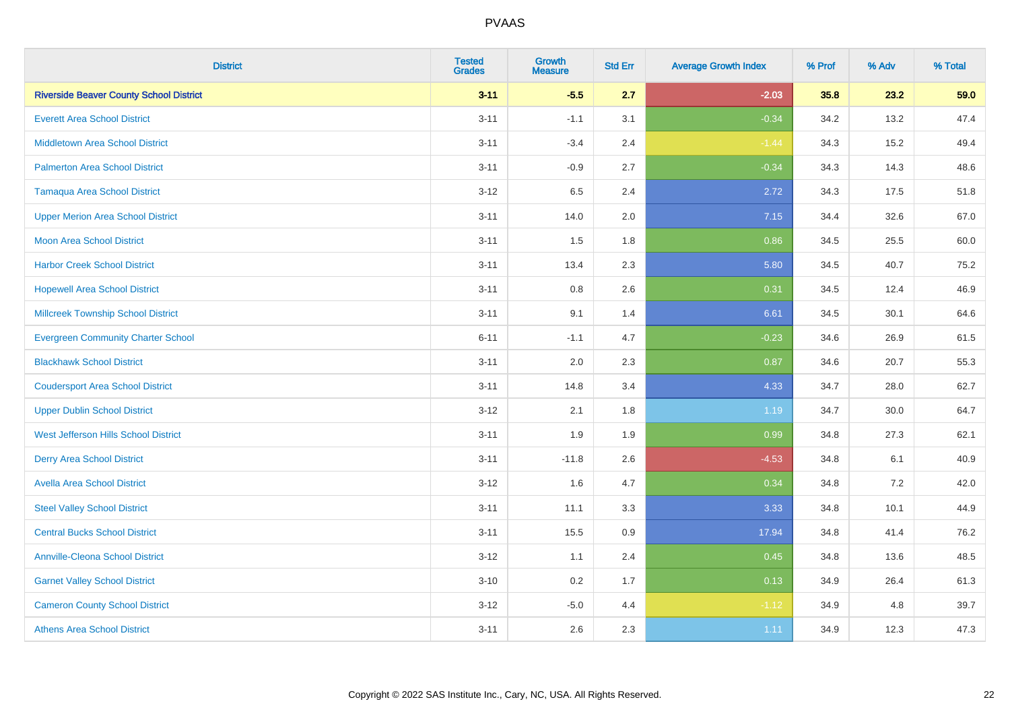| <b>District</b>                                | <b>Tested</b><br><b>Grades</b> | <b>Growth</b><br><b>Measure</b> | <b>Std Err</b> | <b>Average Growth Index</b> | % Prof | % Adv | % Total |
|------------------------------------------------|--------------------------------|---------------------------------|----------------|-----------------------------|--------|-------|---------|
| <b>Riverside Beaver County School District</b> | $3 - 11$                       | $-5.5$                          | 2.7            | $-2.03$                     | 35.8   | 23.2  | 59.0    |
| <b>Everett Area School District</b>            | $3 - 11$                       | $-1.1$                          | 3.1            | $-0.34$                     | 34.2   | 13.2  | 47.4    |
| <b>Middletown Area School District</b>         | $3 - 11$                       | $-3.4$                          | 2.4            | $-1.44$                     | 34.3   | 15.2  | 49.4    |
| <b>Palmerton Area School District</b>          | $3 - 11$                       | $-0.9$                          | 2.7            | $-0.34$                     | 34.3   | 14.3  | 48.6    |
| <b>Tamaqua Area School District</b>            | $3 - 12$                       | 6.5                             | 2.4            | 2.72                        | 34.3   | 17.5  | 51.8    |
| <b>Upper Merion Area School District</b>       | $3 - 11$                       | 14.0                            | 2.0            | 7.15                        | 34.4   | 32.6  | 67.0    |
| <b>Moon Area School District</b>               | $3 - 11$                       | 1.5                             | 1.8            | 0.86                        | 34.5   | 25.5  | 60.0    |
| <b>Harbor Creek School District</b>            | $3 - 11$                       | 13.4                            | 2.3            | 5.80                        | 34.5   | 40.7  | 75.2    |
| <b>Hopewell Area School District</b>           | $3 - 11$                       | 0.8                             | 2.6            | 0.31                        | 34.5   | 12.4  | 46.9    |
| <b>Millcreek Township School District</b>      | $3 - 11$                       | 9.1                             | 1.4            | 6.61                        | 34.5   | 30.1  | 64.6    |
| <b>Evergreen Community Charter School</b>      | $6 - 11$                       | $-1.1$                          | 4.7            | $-0.23$                     | 34.6   | 26.9  | 61.5    |
| <b>Blackhawk School District</b>               | $3 - 11$                       | 2.0                             | 2.3            | 0.87                        | 34.6   | 20.7  | 55.3    |
| <b>Coudersport Area School District</b>        | $3 - 11$                       | 14.8                            | 3.4            | 4.33                        | 34.7   | 28.0  | 62.7    |
| <b>Upper Dublin School District</b>            | $3 - 12$                       | 2.1                             | 1.8            | 1.19                        | 34.7   | 30.0  | 64.7    |
| West Jefferson Hills School District           | $3 - 11$                       | 1.9                             | 1.9            | 0.99                        | 34.8   | 27.3  | 62.1    |
| <b>Derry Area School District</b>              | $3 - 11$                       | $-11.8$                         | 2.6            | $-4.53$                     | 34.8   | 6.1   | 40.9    |
| <b>Avella Area School District</b>             | $3 - 12$                       | 1.6                             | 4.7            | 0.34                        | 34.8   | 7.2   | 42.0    |
| <b>Steel Valley School District</b>            | $3 - 11$                       | 11.1                            | 3.3            | 3.33                        | 34.8   | 10.1  | 44.9    |
| <b>Central Bucks School District</b>           | $3 - 11$                       | 15.5                            | 0.9            | 17.94                       | 34.8   | 41.4  | 76.2    |
| <b>Annville-Cleona School District</b>         | $3 - 12$                       | 1.1                             | 2.4            | 0.45                        | 34.8   | 13.6  | 48.5    |
| <b>Garnet Valley School District</b>           | $3 - 10$                       | 0.2                             | 1.7            | 0.13                        | 34.9   | 26.4  | 61.3    |
| <b>Cameron County School District</b>          | $3 - 12$                       | $-5.0$                          | 4.4            | $-1.12$                     | 34.9   | 4.8   | 39.7    |
| <b>Athens Area School District</b>             | $3 - 11$                       | 2.6                             | 2.3            | 1.11                        | 34.9   | 12.3  | 47.3    |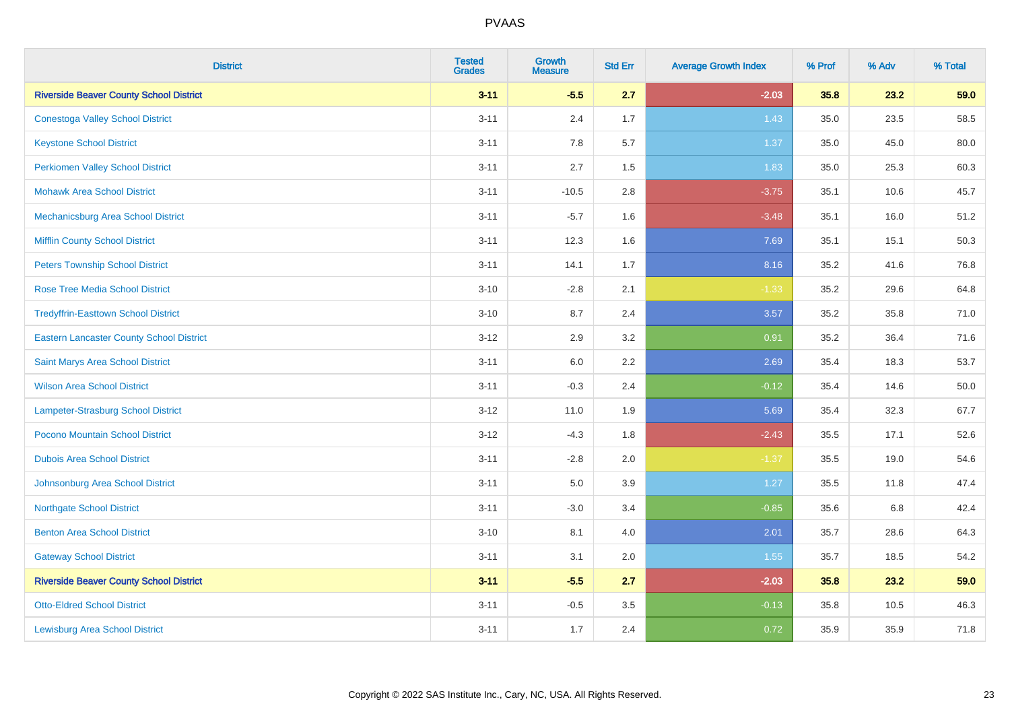| <b>District</b>                                 | <b>Tested</b><br><b>Grades</b> | <b>Growth</b><br><b>Measure</b> | <b>Std Err</b> | <b>Average Growth Index</b> | % Prof | % Adv | % Total |
|-------------------------------------------------|--------------------------------|---------------------------------|----------------|-----------------------------|--------|-------|---------|
| <b>Riverside Beaver County School District</b>  | $3 - 11$                       | $-5.5$                          | 2.7            | $-2.03$                     | 35.8   | 23.2  | 59.0    |
| <b>Conestoga Valley School District</b>         | $3 - 11$                       | 2.4                             | 1.7            | 1.43                        | 35.0   | 23.5  | 58.5    |
| <b>Keystone School District</b>                 | $3 - 11$                       | 7.8                             | 5.7            | 1.37                        | 35.0   | 45.0  | 80.0    |
| <b>Perkiomen Valley School District</b>         | $3 - 11$                       | 2.7                             | 1.5            | 1.83                        | 35.0   | 25.3  | 60.3    |
| <b>Mohawk Area School District</b>              | $3 - 11$                       | $-10.5$                         | 2.8            | $-3.75$                     | 35.1   | 10.6  | 45.7    |
| Mechanicsburg Area School District              | $3 - 11$                       | $-5.7$                          | 1.6            | $-3.48$                     | 35.1   | 16.0  | 51.2    |
| <b>Mifflin County School District</b>           | $3 - 11$                       | 12.3                            | 1.6            | 7.69                        | 35.1   | 15.1  | 50.3    |
| <b>Peters Township School District</b>          | $3 - 11$                       | 14.1                            | 1.7            | 8.16                        | 35.2   | 41.6  | 76.8    |
| <b>Rose Tree Media School District</b>          | $3 - 10$                       | $-2.8$                          | 2.1            | $-1.33$                     | 35.2   | 29.6  | 64.8    |
| <b>Tredyffrin-Easttown School District</b>      | $3 - 10$                       | 8.7                             | 2.4            | 3.57                        | 35.2   | 35.8  | 71.0    |
| <b>Eastern Lancaster County School District</b> | $3 - 12$                       | 2.9                             | 3.2            | 0.91                        | 35.2   | 36.4  | 71.6    |
| Saint Marys Area School District                | $3 - 11$                       | 6.0                             | 2.2            | 2.69                        | 35.4   | 18.3  | 53.7    |
| <b>Wilson Area School District</b>              | $3 - 11$                       | $-0.3$                          | 2.4            | $-0.12$                     | 35.4   | 14.6  | 50.0    |
| Lampeter-Strasburg School District              | $3-12$                         | 11.0                            | 1.9            | 5.69                        | 35.4   | 32.3  | 67.7    |
| Pocono Mountain School District                 | $3 - 12$                       | $-4.3$                          | 1.8            | $-2.43$                     | 35.5   | 17.1  | 52.6    |
| <b>Dubois Area School District</b>              | $3 - 11$                       | $-2.8$                          | 2.0            | $-1.37$                     | 35.5   | 19.0  | 54.6    |
| Johnsonburg Area School District                | $3 - 11$                       | 5.0                             | 3.9            | 1.27                        | 35.5   | 11.8  | 47.4    |
| <b>Northgate School District</b>                | $3 - 11$                       | $-3.0$                          | 3.4            | $-0.85$                     | 35.6   | 6.8   | 42.4    |
| <b>Benton Area School District</b>              | $3 - 10$                       | 8.1                             | 4.0            | 2.01                        | 35.7   | 28.6  | 64.3    |
| <b>Gateway School District</b>                  | $3 - 11$                       | 3.1                             | 2.0            | 1.55                        | 35.7   | 18.5  | 54.2    |
| <b>Riverside Beaver County School District</b>  | $3 - 11$                       | $-5.5$                          | 2.7            | $-2.03$                     | 35.8   | 23.2  | 59.0    |
| <b>Otto-Eldred School District</b>              | $3 - 11$                       | $-0.5$                          | 3.5            | $-0.13$                     | 35.8   | 10.5  | 46.3    |
| <b>Lewisburg Area School District</b>           | $3 - 11$                       | 1.7                             | 2.4            | 0.72                        | 35.9   | 35.9  | 71.8    |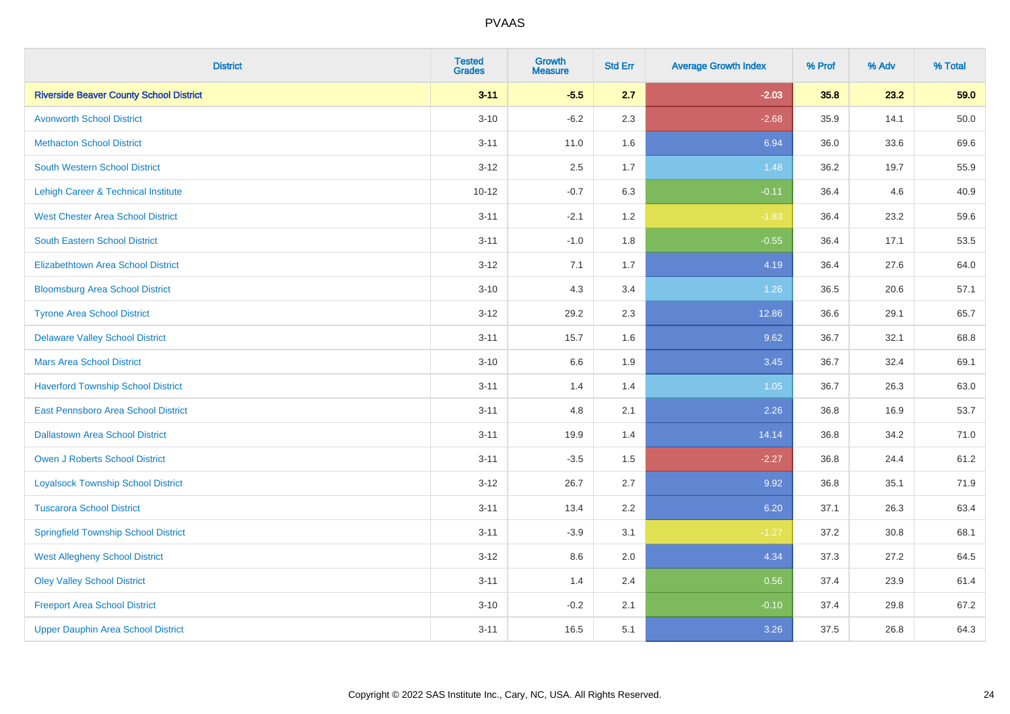| <b>District</b>                                | <b>Tested</b><br><b>Grades</b> | <b>Growth</b><br><b>Measure</b> | <b>Std Err</b> | <b>Average Growth Index</b> | % Prof | % Adv | % Total  |
|------------------------------------------------|--------------------------------|---------------------------------|----------------|-----------------------------|--------|-------|----------|
| <b>Riverside Beaver County School District</b> | $3 - 11$                       | $-5.5$                          | 2.7            | $-2.03$                     | 35.8   | 23.2  | 59.0     |
| <b>Avonworth School District</b>               | $3 - 10$                       | $-6.2$                          | 2.3            | $-2.68$                     | 35.9   | 14.1  | $50.0\,$ |
| <b>Methacton School District</b>               | $3 - 11$                       | 11.0                            | 1.6            | 6.94                        | 36.0   | 33.6  | 69.6     |
| <b>South Western School District</b>           | $3 - 12$                       | 2.5                             | 1.7            | 1.48                        | 36.2   | 19.7  | 55.9     |
| Lehigh Career & Technical Institute            | $10 - 12$                      | $-0.7$                          | 6.3            | $-0.11$                     | 36.4   | 4.6   | 40.9     |
| <b>West Chester Area School District</b>       | $3 - 11$                       | $-2.1$                          | 1.2            | $-1.83$                     | 36.4   | 23.2  | 59.6     |
| South Eastern School District                  | $3 - 11$                       | $-1.0$                          | 1.8            | $-0.55$                     | 36.4   | 17.1  | 53.5     |
| <b>Elizabethtown Area School District</b>      | $3 - 12$                       | 7.1                             | 1.7            | 4.19                        | 36.4   | 27.6  | 64.0     |
| <b>Bloomsburg Area School District</b>         | $3 - 10$                       | 4.3                             | 3.4            | 1.26                        | 36.5   | 20.6  | 57.1     |
| <b>Tyrone Area School District</b>             | $3 - 12$                       | 29.2                            | 2.3            | 12.86                       | 36.6   | 29.1  | 65.7     |
| <b>Delaware Valley School District</b>         | $3 - 11$                       | 15.7                            | 1.6            | 9.62                        | 36.7   | 32.1  | 68.8     |
| <b>Mars Area School District</b>               | $3 - 10$                       | 6.6                             | 1.9            | 3.45                        | 36.7   | 32.4  | 69.1     |
| <b>Haverford Township School District</b>      | $3 - 11$                       | 1.4                             | 1.4            | 1.05                        | 36.7   | 26.3  | 63.0     |
| East Pennsboro Area School District            | $3 - 11$                       | 4.8                             | 2.1            | 2.26                        | 36.8   | 16.9  | 53.7     |
| <b>Dallastown Area School District</b>         | $3 - 11$                       | 19.9                            | 1.4            | 14.14                       | 36.8   | 34.2  | 71.0     |
| <b>Owen J Roberts School District</b>          | $3 - 11$                       | $-3.5$                          | 1.5            | $-2.27$                     | 36.8   | 24.4  | 61.2     |
| <b>Loyalsock Township School District</b>      | $3 - 12$                       | 26.7                            | 2.7            | 9.92                        | 36.8   | 35.1  | 71.9     |
| <b>Tuscarora School District</b>               | $3 - 11$                       | 13.4                            | 2.2            | 6.20                        | 37.1   | 26.3  | 63.4     |
| <b>Springfield Township School District</b>    | $3 - 11$                       | $-3.9$                          | 3.1            | $-1.27$                     | 37.2   | 30.8  | 68.1     |
| <b>West Allegheny School District</b>          | $3 - 12$                       | 8.6                             | 2.0            | 4.34                        | 37.3   | 27.2  | 64.5     |
| <b>Oley Valley School District</b>             | $3 - 11$                       | 1.4                             | 2.4            | 0.56                        | 37.4   | 23.9  | 61.4     |
| <b>Freeport Area School District</b>           | $3 - 10$                       | $-0.2$                          | 2.1            | $-0.10$                     | 37.4   | 29.8  | 67.2     |
| <b>Upper Dauphin Area School District</b>      | $3 - 11$                       | 16.5                            | 5.1            | 3.26                        | 37.5   | 26.8  | 64.3     |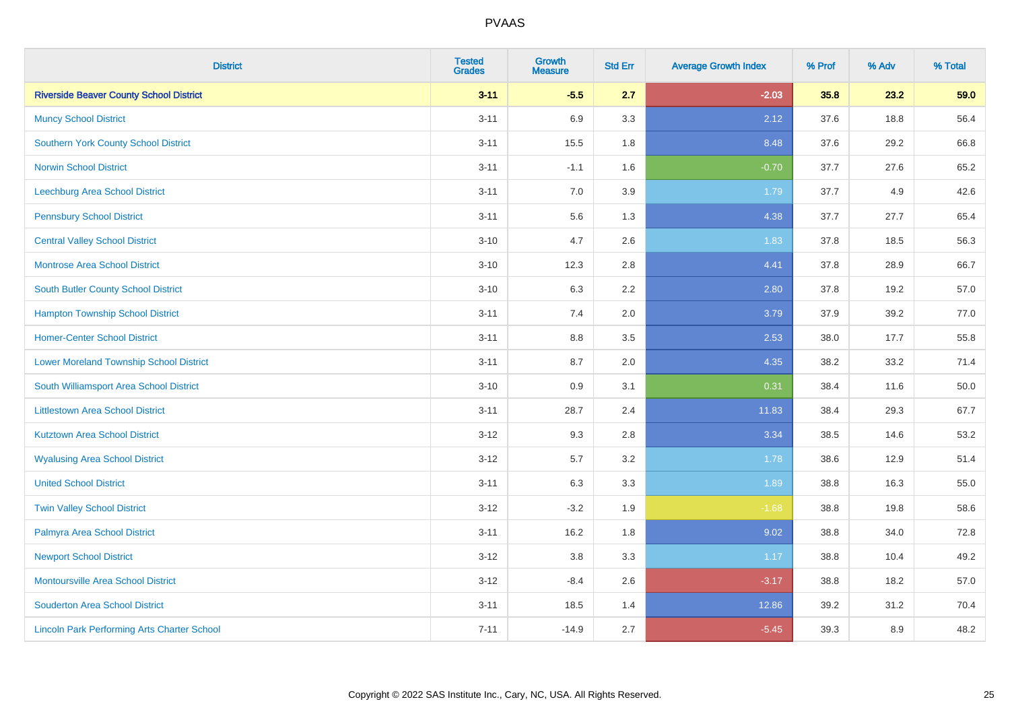| <b>District</b>                                    | <b>Tested</b><br><b>Grades</b> | <b>Growth</b><br><b>Measure</b> | <b>Std Err</b> | <b>Average Growth Index</b> | % Prof | % Adv | % Total |
|----------------------------------------------------|--------------------------------|---------------------------------|----------------|-----------------------------|--------|-------|---------|
| <b>Riverside Beaver County School District</b>     | $3 - 11$                       | $-5.5$                          | 2.7            | $-2.03$                     | 35.8   | 23.2  | 59.0    |
| <b>Muncy School District</b>                       | $3 - 11$                       | 6.9                             | 3.3            | 2.12                        | 37.6   | 18.8  | 56.4    |
| <b>Southern York County School District</b>        | $3 - 11$                       | 15.5                            | 1.8            | 8.48                        | 37.6   | 29.2  | 66.8    |
| <b>Norwin School District</b>                      | $3 - 11$                       | $-1.1$                          | 1.6            | $-0.70$                     | 37.7   | 27.6  | 65.2    |
| <b>Leechburg Area School District</b>              | $3 - 11$                       | 7.0                             | 3.9            | 1.79                        | 37.7   | 4.9   | 42.6    |
| <b>Pennsbury School District</b>                   | $3 - 11$                       | 5.6                             | 1.3            | 4.38                        | 37.7   | 27.7  | 65.4    |
| <b>Central Valley School District</b>              | $3 - 10$                       | 4.7                             | 2.6            | 1.83                        | 37.8   | 18.5  | 56.3    |
| <b>Montrose Area School District</b>               | $3 - 10$                       | 12.3                            | 2.8            | 4.41                        | 37.8   | 28.9  | 66.7    |
| South Butler County School District                | $3 - 10$                       | 6.3                             | 2.2            | 2.80                        | 37.8   | 19.2  | 57.0    |
| <b>Hampton Township School District</b>            | $3 - 11$                       | 7.4                             | 2.0            | 3.79                        | 37.9   | 39.2  | 77.0    |
| <b>Homer-Center School District</b>                | $3 - 11$                       | 8.8                             | 3.5            | 2.53                        | 38.0   | 17.7  | 55.8    |
| <b>Lower Moreland Township School District</b>     | $3 - 11$                       | 8.7                             | 2.0            | 4.35                        | 38.2   | 33.2  | 71.4    |
| South Williamsport Area School District            | $3 - 10$                       | $0.9\,$                         | 3.1            | 0.31                        | 38.4   | 11.6  | 50.0    |
| <b>Littlestown Area School District</b>            | $3 - 11$                       | 28.7                            | 2.4            | 11.83                       | 38.4   | 29.3  | 67.7    |
| <b>Kutztown Area School District</b>               | $3 - 12$                       | 9.3                             | 2.8            | 3.34                        | 38.5   | 14.6  | 53.2    |
| <b>Wyalusing Area School District</b>              | $3 - 12$                       | 5.7                             | 3.2            | 1.78                        | 38.6   | 12.9  | 51.4    |
| <b>United School District</b>                      | $3 - 11$                       | 6.3                             | 3.3            | 1.89                        | 38.8   | 16.3  | 55.0    |
| <b>Twin Valley School District</b>                 | $3 - 12$                       | $-3.2$                          | 1.9            | $-1.68$                     | 38.8   | 19.8  | 58.6    |
| Palmyra Area School District                       | $3 - 11$                       | 16.2                            | 1.8            | 9.02                        | 38.8   | 34.0  | 72.8    |
| <b>Newport School District</b>                     | $3 - 12$                       | 3.8                             | 3.3            | 1.17                        | 38.8   | 10.4  | 49.2    |
| Montoursville Area School District                 | $3-12$                         | $-8.4$                          | 2.6            | $-3.17$                     | 38.8   | 18.2  | 57.0    |
| <b>Souderton Area School District</b>              | $3 - 11$                       | 18.5                            | 1.4            | 12.86                       | 39.2   | 31.2  | 70.4    |
| <b>Lincoln Park Performing Arts Charter School</b> | $7 - 11$                       | $-14.9$                         | 2.7            | $-5.45$                     | 39.3   | 8.9   | 48.2    |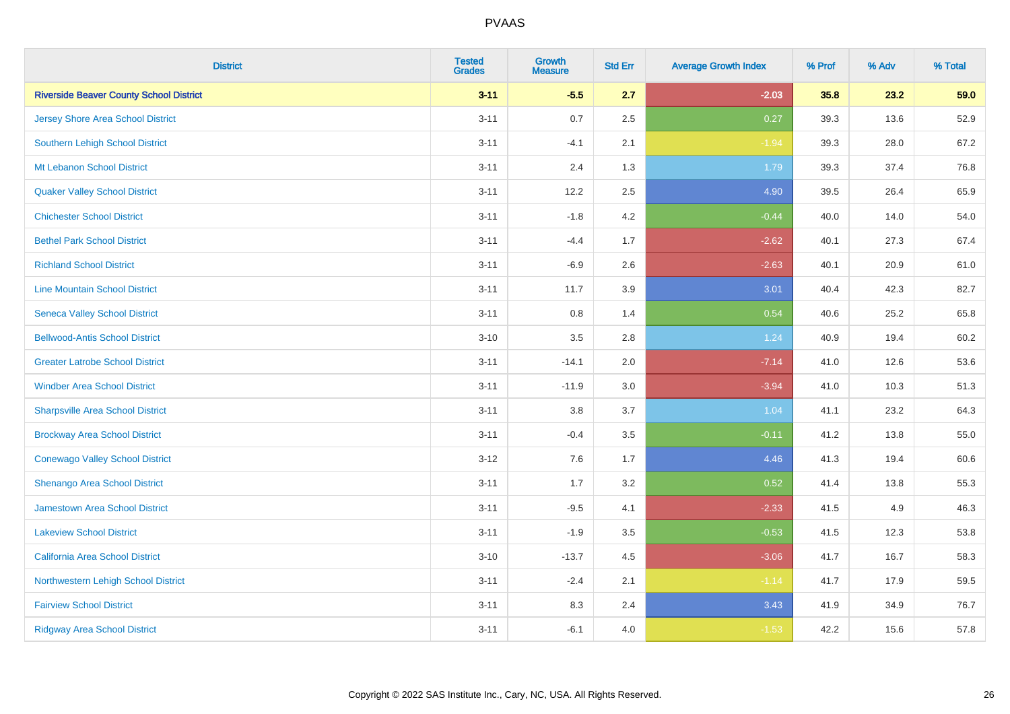| <b>District</b>                                | <b>Tested</b><br><b>Grades</b> | <b>Growth</b><br><b>Measure</b> | <b>Std Err</b> | <b>Average Growth Index</b> | % Prof | % Adv | % Total |
|------------------------------------------------|--------------------------------|---------------------------------|----------------|-----------------------------|--------|-------|---------|
| <b>Riverside Beaver County School District</b> | $3 - 11$                       | $-5.5$                          | 2.7            | $-2.03$                     | 35.8   | 23.2  | 59.0    |
| <b>Jersey Shore Area School District</b>       | $3 - 11$                       | 0.7                             | 2.5            | 0.27                        | 39.3   | 13.6  | 52.9    |
| Southern Lehigh School District                | $3 - 11$                       | $-4.1$                          | 2.1            | $-1.94$                     | 39.3   | 28.0  | 67.2    |
| Mt Lebanon School District                     | $3 - 11$                       | 2.4                             | 1.3            | 1.79                        | 39.3   | 37.4  | 76.8    |
| <b>Quaker Valley School District</b>           | $3 - 11$                       | 12.2                            | 2.5            | 4.90                        | 39.5   | 26.4  | 65.9    |
| <b>Chichester School District</b>              | $3 - 11$                       | $-1.8$                          | 4.2            | $-0.44$                     | 40.0   | 14.0  | 54.0    |
| <b>Bethel Park School District</b>             | $3 - 11$                       | $-4.4$                          | 1.7            | $-2.62$                     | 40.1   | 27.3  | 67.4    |
| <b>Richland School District</b>                | $3 - 11$                       | $-6.9$                          | 2.6            | $-2.63$                     | 40.1   | 20.9  | 61.0    |
| <b>Line Mountain School District</b>           | $3 - 11$                       | 11.7                            | 3.9            | 3.01                        | 40.4   | 42.3  | 82.7    |
| <b>Seneca Valley School District</b>           | $3 - 11$                       | $0.8\,$                         | 1.4            | 0.54                        | 40.6   | 25.2  | 65.8    |
| <b>Bellwood-Antis School District</b>          | $3 - 10$                       | 3.5                             | 2.8            | 1.24                        | 40.9   | 19.4  | 60.2    |
| <b>Greater Latrobe School District</b>         | $3 - 11$                       | $-14.1$                         | 2.0            | $-7.14$                     | 41.0   | 12.6  | 53.6    |
| <b>Windber Area School District</b>            | $3 - 11$                       | $-11.9$                         | 3.0            | $-3.94$                     | 41.0   | 10.3  | 51.3    |
| <b>Sharpsville Area School District</b>        | $3 - 11$                       | $3.8\,$                         | 3.7            | 1.04                        | 41.1   | 23.2  | 64.3    |
| <b>Brockway Area School District</b>           | $3 - 11$                       | $-0.4$                          | 3.5            | $-0.11$                     | 41.2   | 13.8  | 55.0    |
| <b>Conewago Valley School District</b>         | $3 - 12$                       | 7.6                             | 1.7            | 4.46                        | 41.3   | 19.4  | 60.6    |
| Shenango Area School District                  | $3 - 11$                       | 1.7                             | 3.2            | 0.52                        | 41.4   | 13.8  | 55.3    |
| Jamestown Area School District                 | $3 - 11$                       | $-9.5$                          | 4.1            | $-2.33$                     | 41.5   | 4.9   | 46.3    |
| <b>Lakeview School District</b>                | $3 - 11$                       | $-1.9$                          | 3.5            | $-0.53$                     | 41.5   | 12.3  | 53.8    |
| California Area School District                | $3 - 10$                       | $-13.7$                         | 4.5            | $-3.06$                     | 41.7   | 16.7  | 58.3    |
| Northwestern Lehigh School District            | $3 - 11$                       | $-2.4$                          | 2.1            | $-1.14$                     | 41.7   | 17.9  | 59.5    |
| <b>Fairview School District</b>                | $3 - 11$                       | 8.3                             | 2.4            | 3.43                        | 41.9   | 34.9  | 76.7    |
| <b>Ridgway Area School District</b>            | $3 - 11$                       | $-6.1$                          | 4.0            | $-1.53$                     | 42.2   | 15.6  | 57.8    |